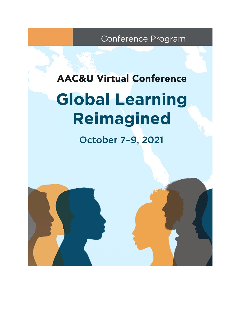Conference Program

# **AAC&U Virtual Conference Global Learning** Reimagined

October 7-9, 2021

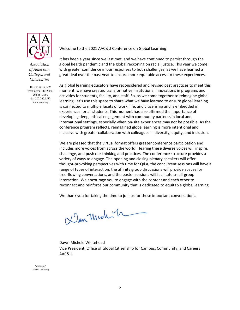

**Association** of American Colleges and *Universities* 

1818 R Street, NW Washington, DC 20009 202.387.3760 fax: 202.265.9532 www.aacu.org

Welcome to the 2021 AAC&U Conference on Global Learning!

It has been a year since we last met, and we have continued to persist through the global health pandemic and the global reckoning on racial justice. This year we come with greater confidence in our responses to both challenges, as we have learned a great deal over the past year to ensure more equitable access to these experiences.

As global learning educators have reconsidered and revised past practices to meet this moment, we have created transformative institutional innovations in programs and activities for students, faculty, and staff. So, as we come together to reimagine global learning, let's use this space to share what we have learned to ensure global learning is connected to multiple facets of work, life, and citizenship and is embedded in experiences for all students. This moment has also affirmed the importance of developing deep, ethical engagement with community partners in local and international settings, especially when on-site experiences may not be possible. As the conference program reflects, reimagined global earning is more intentional and inclusive with greater collaboration with colleagues in diversity, equity, and inclusion.

We are pleased that the virtual format offers greater conference participation and includes more voices from across the world. Hearing these diverse voices will inspire, challenge, and push our thinking and practices. The conference structure provides a variety of ways to engage. The opening and closing plenary speakers will offer thought-provoking perspectives with time for Q&A, the concurrent sessions will have a range of types of interaction, the affinity group discussions will provide spaces for free-flowing conversations, and the poster sessions will facilitate small-group interaction. We encourage you to engage with the content and each other to reconnect and reinforce our community that is dedicated to equitable global learning.

We thank you for taking the time to join us for these important conversations.

Dan Mich - h

Dawn Michele Whitehead Vice President, Office of Global Citizenship for Campus, Community, and Careers AAC&U

Advancing Liberal Learning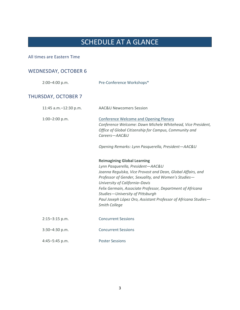# SCHEDULE AT A GLANCE

# All times are Eastern Time

# WEDNESDAY, OCTOBER 6

| 2:00-4:00 p.m.             | Pre-Conference Workshops*                                                                                                                                                                                                                                                                                                                                                                                              |
|----------------------------|------------------------------------------------------------------------------------------------------------------------------------------------------------------------------------------------------------------------------------------------------------------------------------------------------------------------------------------------------------------------------------------------------------------------|
| <b>THURSDAY, OCTOBER 7</b> |                                                                                                                                                                                                                                                                                                                                                                                                                        |
| 11:45 a.m.-12:30 p.m.      | <b>AAC&amp;U Newcomers Session</b>                                                                                                                                                                                                                                                                                                                                                                                     |
| $1:00-2:00$ p.m.           | <b>Conference Welcome and Opening Plenary</b><br>Conference Welcome: Dawn Michele Whitehead, Vice President,<br>Office of Global Citizenship for Campus, Community and<br>Careers-AAC&U                                                                                                                                                                                                                                |
|                            | Opening Remarks: Lynn Pasquerella, President-AAC&U                                                                                                                                                                                                                                                                                                                                                                     |
|                            | <b>Reimagining Global Learning</b><br>Lynn Pasquerella, President-AAC&U<br>Joanna Regulska, Vice Provost and Dean, Global Affairs, and<br>Professor of Gender, Sexuality, and Women's Studies-<br>University of California-Davis<br>Felix Germain, Associate Professor, Department of Africana<br>Studies-University of Pittsburgh<br>Paul Joseph López Oro, Assistant Professor of Africana Studies-<br>Smith College |
| $2:15 - 3:15$ p.m.         | <b>Concurrent Sessions</b>                                                                                                                                                                                                                                                                                                                                                                                             |
| $3:30 - 4:30$ p.m.         | <b>Concurrent Sessions</b>                                                                                                                                                                                                                                                                                                                                                                                             |
| 4:45-5:45 p.m.             | <b>Poster Sessions</b>                                                                                                                                                                                                                                                                                                                                                                                                 |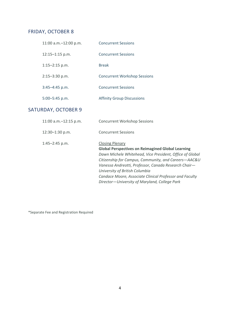# FRIDAY, OCTOBER 8

| 11:00 a.m. - 12:00 p.m. | <b>Concurrent Sessions</b>          |
|-------------------------|-------------------------------------|
| $12:15 - 1:15$ p.m.     | <b>Concurrent Sessions</b>          |
| $1:15 - 2:15$ p.m.      | <b>Break</b>                        |
| $2:15 - 3:30$ p.m.      | <b>Concurrent Workshop Sessions</b> |
| $3:45 - 4:45$ p.m.      | <b>Concurrent Sessions</b>          |
| $5:00 - 5:45$ p.m.      | <b>Affinity Group Discussions</b>   |

# SATURDAY, OCTOBER 9

| 11:00 a.m.-12:15 p.m. | <b>Concurrent Workshop Sessions</b>                                                                                                                                                                                                                                                                                                                         |
|-----------------------|-------------------------------------------------------------------------------------------------------------------------------------------------------------------------------------------------------------------------------------------------------------------------------------------------------------------------------------------------------------|
| 12:30-1:30 p.m.       | <b>Concurrent Sessions</b>                                                                                                                                                                                                                                                                                                                                  |
| 1:45-2:45 p.m.        | <b>Closing Plenary</b><br><b>Global Perspectives on Reimagined Global Learning</b><br>Dawn Michele Whitehead, Vice President, Office of Global<br>Citizenship for Campus, Community, and Careers-AAC&U<br>Vanessa Andreotti, Professor, Canada Research Chair-<br>University of British Columbia<br>Candace Moore, Associate Clinical Professor and Faculty |
|                       | Director-University of Maryland, College Park                                                                                                                                                                                                                                                                                                               |

\*Separate Fee and Registration Required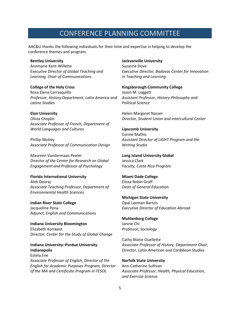# CONFERENCE PLANNING COMMITTEE

AAC&U thanks the following individuals for their time and expertise in helping to develop the conference themes and program.

#### **Bentley University**

Annmarie Kent-Willette *Executive Director of Global Teaching and Learning, Chair of Communications*

#### **College of the Holy Cross**

Rosa Elena Carrasquillo *Professor, History Department, Latin America and Latino Studies*

#### **Elon University**

Olivia Choplin *Associate Professor of French, Department of World Languages and Cultures*

Phillip Motley *Associate Professor of Communication Design*

Maureen Vandermaas-Peeler *Director of the Center for Research on Global Engagement and Professor of Psychology*

#### **Florida International University**

Alok Deoraj *Associate Teaching Professor, Department of Environmental Health Sciences*

**Indian River State College** Jacqueline Pena *Adjunct, English and Communications*

**Indiana University Bloomington** Elizabeth Konwest *Director, Center for the Study of Global Change*

**Indiana University–Purdue University Indianapolis** Estela Ene *Associate Professor of English, Director of the English for Academic Purposes Program, Director of the MA and Certificate Program in TESOL*

#### **Jacksonville University**

Suzanne Dove *Executive Director, Badavas Center for Innovation in Teaching and Learning*

#### **Kingsborough Community College**  Jason M. Leggett

*Assistant Professor, History-Philosophy and Political Science*

Helen-Margaret Nasser *Director, Student Union and Intercultural Center* 

#### **Lipscomb University**

Corine Mathis *Assistant Director of LIGHT Program and the Writing Studio*

**Long Island University Global** Jessica Clark *Faculty, Costa Rica Program*

#### **Miami Dade College** Elissa Robin Graff *Dean of General Education*

# **Michigan State University** Opal Leeman Bartzis *Executive Director of Education Abroad*

**Muhlenberg College** Janine Chi *Professor, Sociology*

Cathy Marie Ouellette *Associate Professor of History, Department Chair, Director, Latin American and Caribbean Studies*

#### **Norfolk State University** Ann-Catherine Sullivan *Associate Professor, Health, Physical Education, and Exercise Science*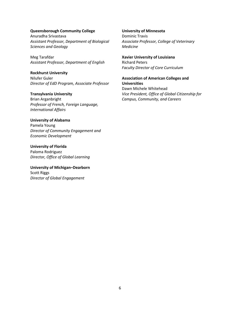#### **Queensborough Community College**

Anuradha Srivastava *Assistant Professor, Department of Biological Sciences and Geology* 

Meg Tarafdar *Assistant Professor, Department of English* 

**Rockhurst University** Nilufer Guler *Director of EdD Program, Associate Professor*

#### **Transylvania University**

Brian Arganbright *Professor of French, Foreign Language, International Affairs*

#### **University of Alabama**

Pamela Young *Director of Community Engagement and Economic Development* 

**University of Florida** Paloma Rodriguez *Director, Office of Global Learning*

#### **University of Michigan–Dearborn** Scott Riggs *Director of Global Engagement*

#### **University of Minnesota**

Dominic Travis *Associate Professor, College of Veterinary Medicine* 

# **Xavier University of Louisiana**

Richard Peters *Faculty Director of Core Curriculum*

# **Association of American Colleges and Universities**

Dawn Michele Whitehead *Vice President, Office of Global Citizenship for Campus, Community, and Careers*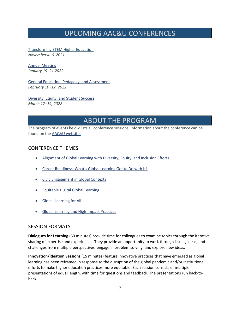# UPCOMING AAC&U CONFERENCES

[Transforming STEM Higher Education](https://www.aacu.org/events/conferences) *November 4–6, 2021*

[Annual Meeting](https://www.aacu.org/meetings/am22) *January 19–21 2022*

[General Education, Pedagogy, and Assessment](https://www.aacu.org/events/conferences) *February 10–12, 2022*

[Diversity, Equity, and Student Success](https://www.aacu.org/events/conferences) *March 17–19, 2022*

# ABOUT THE PROGRAM

The program of events below lists all conference sessions. Information about the conference can be found on th[e AAC&U website.](https://www.aacu.org/events/2021-conference-global-learning)

# CONFERENCE THEMES

- [Alignment of Global Learning with Diversity, Equity, and Inclusion Efforts](https://www.aacu.org/events/2021-conference-global-learning)
- [Career Readiness: What's Globa](https://www.aacu.org/events/2021-conference-global-learning)l Learning Got to Do with It?
- [Civic Engagement in Global Contexts](https://www.aacu.org/events/2021-conference-global-learning)
- [Equitable Digital Global Learning](https://www.aacu.org/events/2021-conference-global-learning)
- [Global Learning for All](https://www.aacu.org/events/2021-conference-global-learning)
- [Global Learning and High-Impact Practices](https://www.aacu.org/events/2021-conference-global-learning)

# SESSION FORMATS

**Dialogues for Learning** (60 minutes) provide time for colleagues to examine topics through the iterative sharing of expertise and experiences. They provide an opportunity to work through issues, ideas, and challenges from multiple perspectives, engage in problem solving, and explore new ideas.

**Innovation/Ideation Sessions** (15 minutes) feature innovative practices that have emerged as global learning has been reframed in response to the disruption of the global pandemic and/or institutional efforts to make higher education practices more equitable. Each session consists of multiple presentations of equal length, with time for questions and feedback. The presentations run back-toback.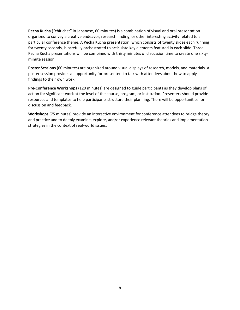**Pecha Kucha** ("chit chat" in Japanese, 60 minutes) is a combination of visual and oral presentation organized to convey a creative endeavor, research finding, or other interesting activity related to a particular conference theme. A Pecha Kucha presentation, which consists of twenty slides each running for twenty seconds, is carefully orchestrated to articulate key elements featured in each slide. Three Pecha Kucha presentations will be combined with thirty minutes of discussion time to create one sixtyminute session.

**Poster Sessions** (60 minutes) are organized around visual displays of research, models, and materials. A poster session provides an opportunity for presenters to talk with attendees about how to apply findings to their own work.

**Pre-Conference Workshops** (120 minutes) are designed to guide participants as they develop plans of action for significant work at the level of the course, program, or institution. Presenters should provide resources and templates to help participants structure their planning. There will be opportunities for discussion and feedback.

**Workshops** (75 minutes) provide an interactive environment for conference attendees to bridge theory and practice and to deeply examine, explore, and/or experience relevant theories and implementation strategies in the context of real-world issues.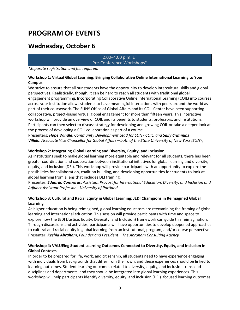# **PROGRAM OF EVENTS**

# **Wednesday, October 6**

# 2:00–4:00 p.m. ET Pre-Conference Workshops\*

*\*Separate registration and fee required.*

# **Workshop 1: Virtual Global Learning: Bringing Collaborative Online International Learning to Your Campus**

We strive to ensure that all our students have the opportunity to develop intercultural skills and global perspectives. Realistically, though, it can be hard to reach all students with traditional global engagement programming. Incorporating Collaborative Online International Learning (COIL) into courses across your institution allows students to have meaningful interactions with peers around the world as part of their coursework. The SUNY Office of Global Affairs and its COIL Center have been supporting collaborative, project-based virtual global engagement for more than fifteen years. This interactive workshop will provide an overview of COIL and its benefits to students, professors, and institutions. Participants can then select to discuss strategy for developing and growing COIL or take a deeper look at the process of developing a COIL collaboration as part of a course.

Presenters: *Hope Windle*, *Community Development Lead for SUNY COIL, and Sally Crimmins Villela, Associate Vice Chancellor for Global Affairs—both of the State University of New York (SUNY)*

# **Workshop 2: Integrating Global Learning and Diversity, Equity, and Inclusion**

As institutions seek to make global learning more equitable and relevant for all students, there has been greater coordination and cooperation between institutional initiatives for global learning and diversity, equity, and inclusion (DEI). This workshop will provide participants with an opportunity to explore the possibilities for collaboration, coalition building, and developing opportunities for students to look at global learning from a lens that includes DEI framing.

Presenter: *Eduardo Contreras*, *Assistant Provost for International Education, Diversity, and Inclusion and Adjunct Assistant Professor—University of Portland*

# **Workshop 3: Cultural and Racial Equity in Global Learning: JEDI Champions in Reimagined Global Learning**

As higher education is being reimagined, global learning educators are reexamining the framing of global learning and international education. This session will provide participants with time and space to explore how the JEDI (Justice, Equity, Diversity, and Inclusion) framework can guide this reimagination. Through discussions and activities, participants will have opportunities to develop deepened approaches to cultural and racial equity in global learning from an institutional, program, and/or course perspective. Presenter: *Keshia Abraham*, *Founder and President—The Abraham Consulting Agency*

# **Workshop 4: VALUEing Student Learning Outcomes Connected to Diversity, Equity, and Inclusion in Global Contexts**

In order to be prepared for life, work, and citizenship, all students need to have experience engaging with individuals from backgrounds that differ from their own, and these experiences should be linked to learning outcomes. Student learning outcomes related to diversity, equity, and inclusion transcend disciplines and departments, and they should be integrated into global learning experiences. This workshop will help participants identify diversity, equity, and inclusion (DEI)–focused learning outcomes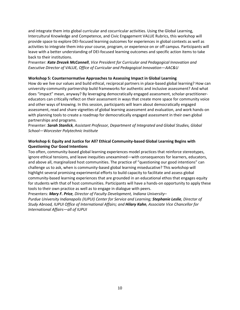and integrate them into global curricular and cocurricular activities. Using the Global Learning, Intercultural Knowledge and Competence, and Civic Engagement VALUE Rubrics, this workshop will provide space to explore DEI‐focused learning outcomes for experiences in global contexts as well as activities to integrate them into your course, program, or experience on or off campus. Participants will leave with a better understanding of DEI‐focused learning outcomes and specific action items to take back to their institutions.

Presenter: *Kate Drezek McConnell*, *Vice President for Curricular and Pedagogical Innovation and Executive Director of VALUE, Office of Curricular and Pedagogical Innovation—AAC&U*

# **Workshop 5: Counternormative Approaches to Assessing Impact in Global Learning**

How do we live our values and build ethical, reciprocal partners in place-based global learning? How can university-community partnership build frameworks for authentic and inclusive assessment? And what does "impact" mean, anyway? By leveraging democratically engaged assessment, scholar-practitionereducators can critically reflect on their assessment in ways that create more space for community voice and other ways of knowing. In this session, participants will learn about democratically engaged assessment, read and share vignettes of global learning assessment and evaluation, and work hands-on with planning tools to create a roadmap for democratically engaged assessment in their own global partnerships and programs.

Presenter: *Sarah Stanlick, Assistant Professor, Department of Integrated and Global Studies, Global School—Worcester Polytechnic Institute*

# **Workshop 6: Equity and Justice for All? Ethical Community-based Global Learning Begins with Questioning Our Good Intentions**

Too often, community-based global learning experiences model practices that reinforce stereotypes, ignore ethical tensions, and leave inequities unexamined—with consequences for learners, educators, and above all, marginalized host communities. The practice of "questioning our good intentions" can challenge us to ask, when is community-based global learning miseducative? This workshop will highlight several promising experimental efforts to build capacity to facilitate and assess global community-based learning experiences that are grounded in an educational ethos that engages equity for students with that of host communities. Participants will have a hands-on opportunity to apply these tools to their own practice as well as to engage in dialogue with peers.

Presenters: *Mary F. Price, Director of Faculty Development, Indiana University– Purdue University Indianapolis (IUPUI) Center for Service and Learning; Stephanie Leslie, Director of Study Abroad, IUPUI Office of International Affairs; and Hilary Kahn, Associate Vice Chancellor for International Affairs—all of IUPUI*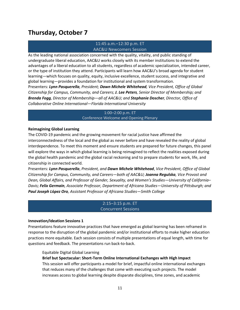# **Thursday, October 7**

# 11:45 a.m.–12:30 p.m. ET AAC&U Newcomers Session

As the leading national association concerned with the quality, vitality, and public standing of undergraduate liberal education, AAC&U works closely with its member institutions to extend the advantages of a liberal education to all students, regardless of academic specialization, intended career, or the type of institution they attend. Participants will learn how AAC&U's broad agenda for student learning—which focuses on quality, equity, inclusive excellence, student success, and integrative and global learning—provides a foundation for institutional and system transformation.

Presenters: *Lynn Pasquerella, President; Dawn Michele Whitehead, Vice President, Office of Global Citizenship for Campus, Community, and Careers; J. Lee Peters, Senior Director of Membership; and Brenda Fogg, Director of Membership—all of AAC&U; and Stephanie Doscher, Director, Office of Collaborative Online International—Florida International University*

#### 1:00–2:00 p.m. ET Conference Welcome and Opening Plenary

#### **Reimagining Global Learning**

The COVID-19 pandemic and the growing movement for racial justice have affirmed the interconnectedness of the local and the global as never before and have revealed the reality of global interdependence. To meet this moment and ensure students are prepared for future changes, this panel will explore the ways in which global learning is being reimagined to reflect the realities exposed during the global health pandemic and the global racial reckoning and to prepare students for work, life, and citizenship in connected world.

Presenters: *Lynn Pasquerella*, *President, and Dawn Michele Whitehead*, *Vice President, Office of Global Citizenship for Campus, Community, and Careers—both of AAC&U; Joanna Regulska, Vice Provost and Dean, Global Affairs, and Professor of Gender, Sexuality, and Women's Studies—University of California– Davis; Felix Germain, Associate Professor, Department of Africana Studies—University of Pittsburgh; and Paul Joseph L***ó***pez Oro, Assistant Professor of Africana Studies—Smith College*

#### 2:15–3:15 p.m. ET Concurrent Sessions

#### **Innovation**/**Ideation Sessions 1**

Presentations feature innovative practices that have emerged as global learning has been reframed in response to the disruption of the global pandemic and/or institutional efforts to make higher education practices more equitable. Each session consists of multiple presentations of equal length, with time for questions and feedback. The presentations run back-to-back.

#### Equitable Digital Global Learning

#### **Brief but Spectacular: Short-Term Online International Exchanges with High Impact**

This session will offer participants a model for brief, impactful online international exchanges that reduces many of the challenges that come with executing such projects. The model increases access to global learning despite disparate disciplines, time zones, and academic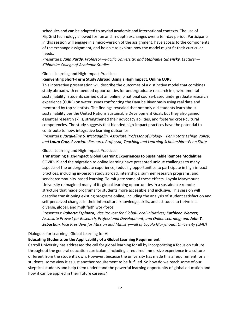schedules and can be adapted to myriad academic and international contexts. The use of FlipGrid technology allowed for fun and in-depth exchanges over a ten-day period. Participants in this session will engage in a micro-version of the assignment, have access to the components of the exchange assignment, and be able to explore how the model might fit their curricular needs.

Presenters: *Jann Purdy, Professor—Pacific University; and Stephanie Ginensky, Lecturer— Kibbutzim College of Academic Studies*

#### Global Learning and High-Impact Practices

#### **Reinventing Short-Term Study Abroad Using a High Impact, Online CURE**

This interactive presentation will describe the outcomes of a distinctive model that combines study abroad with embedded opportunities for undergraduate research in environmental sustainability. Students carried out an online, binational course-based undergraduate research experience (CURE) on water issues confronting the Danube River basin using real data and mentored by top scientists. The findings revealed that not only did students learn about sustainability per the United Nations Sustainable Development Goals but they also gained essential research skills, strengthened their advocacy abilities, and fostered cross-cultural competencies. The study suggests that blended high-impact practices have the potential to contribute to new, integrative learning outcomes.

Presenters: *Jacqueline S. McLaughlin, Associate Professor of Biology—Penn State Lehigh Valley; and Laura Cruz, Associate Research Professor, Teaching and Learning Scholarship—Penn State*

#### Global Learning and High-Impact Practices

**Transitioning High-Impact Global Learning Experiences to Sustainable Remote Modalities** COVID-19 and the migration to online learning have presented unique challenges to many aspects of the undergraduate experience, reducing opportunities to participate in high-impact practices, including in-person study abroad, internships, summer research programs, and service/community-based learning. To mitigate some of these effects, Loyola Marymount University reimagined many of its global learning opportunities in a sustainable remote structure that made programs for students more accessible and inclusive. This session will describe transitioning existing programs online, including the analysis of student satisfaction and self-perceived changes in their intercultural knowledge, skills, and attitudes to thrive in a diverse, global, and multifaith workforce.

Presenters: *Roberta Espinoza, Vice Provost for Global-Local Initiatives; Kathleen Weaver, Associate Provost for Research, Professional Development, and Online Learning; and John T. Sebastian, Vice President for Mission and Ministry—all of Loyola Marymount University (LMU)*

#### Dialogues for Learning | Global Learning for All

#### **Educating Students on the Applicability of a Global Learning Requirement**

Carroll University has addressed the call for global learning for all by incorporating a focus on culture throughout the general education curriculum, including a required immersive experience in a culture different from the student's own. However, because the university has made this a requirement for all students, some view it as just another requirement to be fulfilled. So how do we reach some of our skeptical students and help them understand the powerful learning opportunity of global education and how it can be applied in their future careers?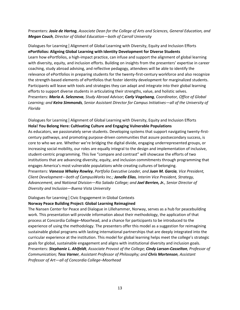# Presenters: *Josie de Hartog, Associate Dean for the College of Arts and Sciences, General Education, and Megan Couch, Director of Global Education—both of Carroll University*

Dialogues for Learning | Alignment of Global Learning with Diversity, Equity and Inclusion Efforts **ePortfolios: Aligning Global Learning with Identity Development for Diverse Students** Learn how ePortfolios, a high-impact practice, can infuse and support the alignment of global learning with diversity, equity, and inclusion efforts. Building on insights from the presenters' expertise in career coaching, study abroad advising, and reflective pedagogy, attendees will be able to identify the relevance of ePortfolios in preparing students for the twenty-first-century workforce and also recognize the strength-based elements of ePortfolios that foster identity development for marginalized students. Participants will leave with tools and strategies they can adapt and integrate into their global learning efforts to support diverse students in articulating their strengths, value, and holistic selves. Presenters: *Maria A. Selezneva, Study Abroad Advisor; Carly Vogelsang, Coordinator, Office of Global Learning; and Keira Simmonds, Senior Assistant Director for Campus Initiatives—all of the University of Florida*

# Dialogues for Learning | Alignment of Global Learning with Diversity, Equity and Inclusion Efforts **Hola! You Belong Here: Cultivating Culture and Engaging Vulnerable Populations**

As educators, we passionately serve students. Developing systems that support navigating twenty-firstcentury pathways, and promoting purpose-driven communities that assure postsecondary success, is core to who we are. Whether we're bridging the digital divide, engaging underrepresented groups, or increasing social mobility, our roles are equally integral to the design and implementation of inclusive, student-centric programming. This live "compare and contrast" will showcase the efforts of two institutions that are advancing diversity, equity, and inclusion commitments through programming that engages America's most vulnerable populations while creating cultures of belonging. Presenters: *Vanessa Whaley Rowley, Portfolio Executive Leader, and Juan M. Garcia, Vice President, Client Development—both of CampusWorks Inc.; Janelle Elias, Interim Vice President, Strategy, Advancement, and National Division—Rio Salado College; and Joel Berrien, Jr., Senior Director of* 

*Diversity and Inclusion—Buena Vista University*

# Dialogues for Learning | Civic Engagement in Global Contexts

#### **Norway Peace Building Project: Global Learning Reimagined**

The Nansen Center for Peace and Dialogue in Lillehammer, Norway, serves as a hub for peacebuilding work. This presentation will provide information about their methodology, the application of that process at Concordia College–Moorhead, and a chance for participants to be introduced to the experience of using the methodology. The presenters offer this model as a suggestion for reimagining sustainable global programs with lasting international partnerships that are deeply integrated into the curricular experience at the institution. This model for global learning helps meet the college's strategic goals for global, sustainable engagement and aligns with institutional diversity and inclusion goals. Presenters: *Stephanie L. Ahlfeldt, Associate Provost of the College; Cindy Larson-Casselton, Professor of Communication; Tess Varner, Assistant Professor of Philosophy; and Chris Mortenson, Assistant Professor of Art—all of Concordia College–Moorhead*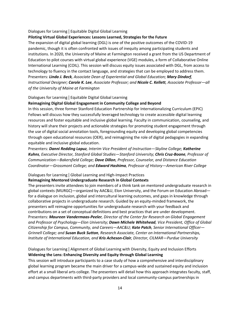#### Dialogues for Learning | Equitable Digital Global Learning

# **Piloting Virtual Global Experiences: Lessons Learned, Strategies for the Future**

The expansion of digital global learning (DGL) is one of the positive outcomes of the COVID-19 pandemic, though it is often confronted with issues of inequity among participating students and institutions. In 2020, the University of Maine at Farmington received a grant from the US Department of Education to pilot courses with virtual global experience (VGE) modules, a form of Collaborative Online International Learning (COIL). This session will discuss equity issues associated with DGL, from access to technology to fluency in the contact language, and strategies that can be employed to address them. Presenters: *Linda J. Beck, Associate Dean of Experiential and Global Education; Mary Dindorf, Instructional Designer; Carole K. Lee, Associate Professor; and Nicole C. Kellett, Associate Professor—all of the University of Maine at Farmington*

# Dialogues for Learning | Equitable Digital Global Learning

# **Reimagining Digital Global Engagement in Community College and Beyond**

In this session, three former Stanford Education Partnership for Internationalizing Curriculum (EPIC) Fellows will discuss how they successfully leveraged technology to create accessible digital learning resources and foster equitable and inclusive global learning. Faculty in communication, counseling, and history will share their projects and actionable strategies for promoting student engagement through the use of digital social annotation tools, foregrounding equity and developing global competencies through open educational resources (OER), and reimagining the role of digital pedagogies in expanding equitable and inclusive global education.

Presenters: *Danni Redding Lapuz, Interim Vice President of Instruction—Skyline College; Katherine Kuhns, Executive Director, Stanford Global Studies—Stanford University; Chris Cruz-Boone, Professor of Communication—Bakersfield College; Dave Dillon, Professor, Counselor, and Distance Education Coordinator—Grossmont College; and Edward Hashima, Professor of History—American River College*

# Dialogues for Learning | Global Learning and High-Impact Practices

# **Reimagining Mentored Undergraduate Research in Global Contexts**

The presenters invite attendees to join members of a think tank on mentored undergraduate research in global contexts (MURGC)—organized by AAC&U, Elon University, and the Forum on Education Abroad for a dialogue on inclusion, global and intercultural learning outcomes, and gaps in knowledge through collaborative projects in undergraduate research. Guided by an equity-minded framework, the presenters will reimagine opportunities for undergraduate research with your feedback and contributions on a set of conceptual definitions and best practices that are under development. Presenters: *Maureen Vandermaas-Peeler, Director of the Center for Research on Global Engagement and Professor of Psychology—Elon University; Dawn Michele Whitehead, Vice President, Office of Global Citizenship for Campus, Community, and Careers—AAC&U; Kate Patch, Senior International Officer— Grinnell College; and Susan Buck Sutton, Research Associate, Center on International Partnerships, Institute of International Education, and Kris Acheson-Clair, Director, CILMAR—Purdue University*

# Dialogues for Learning | Alignment of Global Learning with Diversity, Equity and Inclusion Efforts **Widening the Lens: Enhancing Diversity and Equity through Global Learning**

This session will introduce participants to a case study of how a comprehensive and interdisciplinary global learning program became the main driver for a campus-wide and sustained equity and inclusion effort at a small liberal arts college. The presenters will detail how this approach integrates faculty, staff, and campus departments with third-party providers and local community-campus partnerships in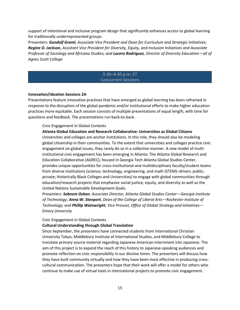support of intentional and inclusive program design that significantly enhances access to global learning for traditionally underrepresented groups.

Presenters: *Gundolf Graml, Associate Vice President and Dean for Curriculum and Strategic Initiatives; Regine O. Jackson, Assistant Vice President for Diversity, Equity, and Inclusion Initiatives and Associate Professor of Sociology and Africana Studies; and Lucero Rodriguez, Director of Diversity Education—all of Agnes Scott College*

#### 3:30–4:30 p.m. ET Concurrent Sessions

#### **Innovation/Ideation Sessions 2A**

Presentations feature innovative practices that have emerged as global learning has been reframed in response to the disruption of the global pandemic and/or institutional efforts to make higher education practices more equitable. Each session consists of multiple presentations of equal length, with time for questions and feedback. The presentations run back-to-back.

#### Civic Engagement in Global Contexts

#### **Atlanta Global Education and Research Collaborative: Universities as Global Citizens**

Universities and colleges are anchor institutions. In this role, they should also be modeling global citizenship in their communities. To the extent that universities and colleges practice civic engagement on global issues, they rarely do so in a collective manner. A new model of multiinstitutional civic engagement has been emerging in Atlanta: The Atlanta Global Research and Education Collaborative (AGREC), housed in Georgia Tech Atlanta Global Studies Center, provides unique opportunities for cross-institutional and multidisciplinary faculty/student teams from diverse institutions (science, technology, engineering, and math (STEM)–driven; public; private; Historically Black Colleges and Universities) to engage with global communities through education/research projects that emphasize social justice, equity, and diversity as well as the United Nations Sustainable Development Goals.

Presenters: *Sebnem Ozkan, Associate Director, Atlanta Global Studies Center—Georgia Institute of Technology; Anna W. Stenport, Dean of the College of Liberal Arts—Rochester Institute of Technology; and Phillip Wainwright, Vice Provost, Office of Global Strategy and Initiatives— Emory University*

#### Civic Engagement in Global Contexts

#### **Cultural Understanding through Global Translation**

Since September, the presenters have connected students from International Christian University Tokyo, Middlebury Institute of International Studies, and Middlebury College to translate primary source material regarding Japanese American internment into Japanese. The aim of this project is to expand the reach of this history to Japanese-speaking audiences and promote reflection on civic responsibility in our divisive times. The presenters will discuss how they have built community virtually and how they have been most effective in producing crosscultural communication. The presenters hope that their work will offer a model for others who continue to make use of virtual tools in international projects to promote civic engagement.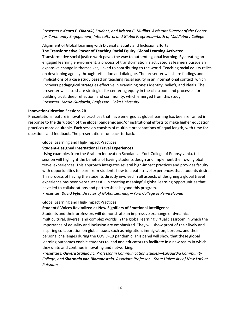Presenters: *Kenzo E. Okazaki, Student, and Kristen C. Mullins, Assistant Director of the Center for Community Engagement, Intercultural and Global Programs—both of Middlebury College*

Alignment of Global Learning with Diversity, Equity and Inclusion Efforts

**The Transformative Power of Teaching Racial Equity: Global Learning Activated**

Transformative social justice work paves the way to authentic global learning. By creating an engaged learning environment, a process of transformation is activated as learners pursue an expansive change in themselves, linked to contributing to the world. Teaching racial equity relies on developing agency through reflection and dialogue. The presenter will share findings and implications of a case study based on teaching racial equity in an international context, which uncovers pedagogical strategies effective in examining one's identity, beliefs, and ideals. The presenter will also share strategies for centering equity in the classroom and processes for building trust, deep reflection, and community, which emerged from this study Presenter: *Maria Guajardo, Professor—Soka University*

#### **Innovation/Ideation Sessions 2B**

Presentations feature innovative practices that have emerged as global learning has been reframed in response to the disruption of the global pandemic and/or institutional efforts to make higher education practices more equitable. Each session consists of multiple presentations of equal length, with time for questions and feedback. The presentations run back-to-back.

#### Global Learning and High-Impact Practices

#### **Student-Designed International Travel Experiences**

Using examples from the Graham Innovation Scholars at York College of Pennsylvania, this session will highlight the benefits of having students design and implement their own global travel experiences. This approach integrates several high-impact practices and provides faculty with opportunities to learn from students how to create travel experiences that students desire. This process of having the students directly involved in all aspects of designing a global travel experience has been very successful in creating meaningful global learning opportunities that have led to collaborations and partnerships beyond this program.

Presenter: *David Fyfe, Director of Global Learning—York College of Pennsylvania*

#### Global Learning and High-Impact Practices

#### **Students' Voices Revitalized as New Signifiers of Emotional Intelligence**

Students and their professors will demonstrate an impressive exchange of dynamic, multicultural, diverse, and complex worlds in the global learning virtual classroom in which the importance of equality and inclusion are emphasized. They will show proof of their lively and inspiring collaboration on global issues such as migration, immigration, borders, and their personal challenges during the COVID-19 pandemic. This panel will show that these global learning outcomes enable students to lead and educators to facilitate in a new realm in which they unite and continue innovating and networking.

Presenters: *Olivera Stankovic, Professor in Communication Studies—LaGuardia Community College; and Sharmain van Blommestein, Associate Professor—State University of New York at Potsdam*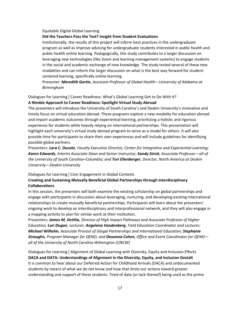#### Equitable Digital Global Learning

#### **Did the Teachers Pass the Test? Insight from Student Evaluations**

Institutionally, the results of this project will inform best practices in the undergraduate program as well as improve advising for undergraduate students interested in public health and public health online learning. Pedagogically, this study contributes to a larger discussion on leveraging new technologies (like Zoom and learning management systems) to engage students in the social and academic exchange of new knowledge. The study tested several of these new modalities and can inform the larger discussion on what is the best way forward for studentcentered learning, specifically online learning.

Presenter: *Meredith Gartin, Assistant Professor of Global Health—University of Alabama at Birmingham*

# Dialogues for Learning | Career Readiness: What's Global Learning Got to Do With It? **A Nimble Approach to Career Readiness: Spotlight Virtual Study Abroad**

The presenters will introduce the University of South Carolina's and Deakin University's innovative and timely focus on virtual education abroad. These programs explore a new modality for education abroad and import academic outcomes through experiential learning, prioritizing a holistic and rigorous experience for students while heavily relying on international partnerships. This presentation will highlight each university's virtual study abroad program to serve as a model for others. It will also provide time for participants to share their own experiences and will include guidelines for identifying possible global partners.

Presenters: *Lara C. Ducate, Faculty Executive Director, Center for Integrative and Experiential Learning; Karen Edwards, Interim Associate Dean and Senior Instructor; Sandy Strick, Associate Professor—all of the University of South Carolina–Columbia; and Tori Ellenberger, Director, North America at Deakin University—Deakin University*

#### Dialogues for Learning | Civic Engagement in Global Contexts

# **Creating and Sustaining Mutually Beneficial Global Partnerships through Interdisciplinary Collaborations**

In this session, the presenters will both examine the existing scholarship on global partnerships and engage with participants in discussion about leveraging, nurturing, and developing existing international relationships to create mutually beneficial partnerships. Participants will learn about the presenters' ongoing work to develop an interdisciplinary and interprofessional network, and they will also engage in a mapping activity to plan for similar work at their institution.

Presenters: *James M. DeVita, Director of High Impact Pathways and Associate Professor of Higher Education; Lori Dugan, Lecturer; Angelena Vandenberg, Field Education Coordinator and Lecturer; Michael Wilhelm, Associate Provost of Glogal Partnerships and International Education; Stephanie Straughn, Program Manager for QENO; and Davonna Cohen, Office and Event Coordinator for QENO all of the University of North Carolina Wilmington (UNCW)*

Dialogues for Learning | Alignment of Global Learning with Diversity, Equity and Inclusion Efforts **DACA and DATA: Understandings of Alignment in the Diversity, Equity, and Inclusion Gestalt** It is common to hear about our Deferred Action for Childhood Arrivals (DACA) and undocumented students by means of what we do not know and how that limits our actions toward greater understanding and support of these students. Tired of data (or lack thereof) being used as the prime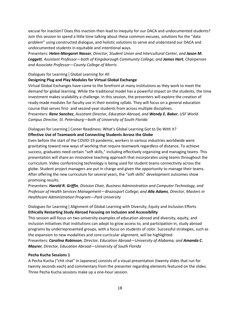excuse for inaction? Does this inaction then lead to inequity for our DACA and undocumented students? Join this session to spend a little time talking about these common excuses, solutions for the "data problem" using constructed dialogue, and holistic solutions to serve and understand our DACA and undocumented students in equitable and intentional ways.

Presenters: *Helen-Margaret Nasser, Director, Student Union and Intercultural Center, and Jason M. Leggett, Assistant Professor—both of Kingsborough Community College; and James Hart, Chairperson and Associate Professor—County College of Morris*

# Dialogues for Learning | Global Learning for All

# **Designing Plug and Play Modules for Virtual Global Exchange**

Virtual Global Exchanges have come to the forefront at many institutions as they work to meet the demand for global learning. While the traditional model has a powerful impact on the students, the time investment makes scalability a challenge. In this session, the presenters will explore the creation of ready-made modules for faculty use in their existing syllabi. They will focus on a general education course that serves first- and second-year students from across multiple disciplines. Presenters: *Rene Sanchez, Assistant Director, Education Abroad, and Wendy E. Baker, USF World Campus Director, St. Petersburg—both of University of South Florida*

Dialogues for Learning | Career Readiness: What's Global Learning Got to Do With It?

# **Effective Use of Teamwork and Connecting Students Across the Globe**

Even before the start of the COVID-19 pandemic, workers in various industries worldwide were gravitating toward new ways of working that require teamwork regardless of distance. To achieve success, graduates need certain "soft skills," including effectively organizing and managing teams. This presentation will share an innovative teaching approach that incorporates using teams throughout the curriculum. Video conferencing technology is being used for student teams connectivity across the globe. Student project managers are put in charge and given the opportunity to manage their teams. After offering the new curriculum for several years, the "soft skills" development outcomes show promising results.

Presenters: *Harold R. Griffin, Division Chair, Business Administration and Computer Technology, and Professor of Health Services Management—Brazosport College; and Alla Adams, Director, Masters in Healthcare Administration Program—Park University*

Dialogues for Learning | Alignment of Global Learning with Diversity, Equity and Inclusion Efforts **Ethically Restarting Study Abroad Focusing on Inclusion and Accessibility**

This session will focus on two university examples of education abroad and diversity, equity, and inclusion initiatives that institutions can adopt to grow access to, and participation in, study abroad programs by underrepresented groups, with a focus on students of color. Successful strategies, such as the expansion to new modalities and core-curricular alignment, will be highlighted. Presenters: *Carolina Robinson, Director, Education Abroad—University of Alabama; and Amanda C.* 

*Maurer, Director, Education Abroad—University of South Florida*

# **Pecha Kucha Sessions 1**

A Pecha Kucha ("chit chat" in Japanese) consists of a visual presentation (twenty slides that run for twenty seconds each) and commentary from the presenter regarding elements featured on the slides. Three Pecha Kucha sessions make up a one-hour session.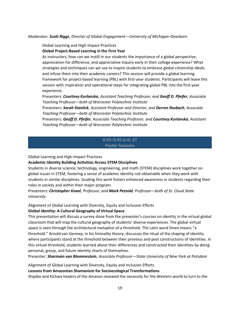#### Moderator: *Scott Riggs, Director of Global Engagement—University of Michigan–Dearborn*

#### Global Learning and High-Impact Practices

#### **Global Project-Based Learning in the First Year**

As instructors, how can we instill in our students the importance of a global perspective, appreciation for difference, and appreciative inquiry early in their college experience? What strategies and techniques can we use to inspire students to embrace global citizenship ideals and infuse them into their academic careers? This session will provide a global learning framework for project-based learning (PBL) with first-year students. Participants will leave this session with inspiration and operational steps for integrating global PBL into the first-year experience.

Presenters: *Courtney Kurlanska, Assistant Teaching Professor, and Geoff D. Pfeifer, Associate Teaching Professor—both of Worcester Polytechnic Institute*

Presenters: *Sarah Stanlick, Assistant Professor and Director, and Derren Rosbach, Associate Teaching Professor—both of Worcester Polytechnic Institute*

Presenters: *Geoff D. Pfeifer, Associate Teaching Professor, and Courtney Kurlanska, Assistant Teaching Professor—both of Worcester Polytechnic Institute*

# 4:45–5:45 p.m. ET Poster Sessions

Global Learning and High-Impact Practices

#### **Academic Identity Building Activities Across STEM Disciplines**

Students in diverse science, technology, engineering, and math (STEM) disciplines work together on global issues in STEM, fostering a sense of academic identity not obtainable when they work with students in similar disciplines. Guiding this work fosters enhanced awareness in students regarding their roles in society and within their major program.

Presenters: *Christopher Kvaal, Professor, and Mark Petzold, Professor—both of St. Cloud State University*

Alignment of Global Learning with Diversity, Equity and Inclusion Efforts

#### **Global Identity: A Cultural Geography of Virtual Space**

This presentation will discuss a survey done from the presenter's courses on identity in the virtual-global classroom that will map the cultural geography of students' diverse experiences. The global-virtual space is seen through the architectural metaphor of a threshold. The Latin word līmen means "a threshold." Arnold van Gennep, in his liminality theory, discusses the ritual of the shaping of identity where participants stand at the threshold between their previous and post constructions of identities. In this virtual threshold, students learned about their differences and constructed their identities by doing personal, group, and future identity charts of themselves.

Presenter: *Sharmain van Blommestein, Associate Professor—State University of New York at Potsdam*

Alignment of Global Learning with Diversity, Equity and Inclusion Efforts **Lessons from Amazonian Shamanism for Socioecological Transformations** Shipibo and Kichwa healers of the Amazon revealed the necessity for the Western world to turn to the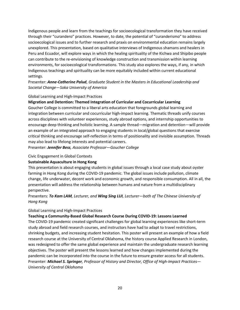Indigenous people and learn from the teachings for socioecological transformation they have received through their "curandero" practices. However, to date, the potential of "curanderismo" to address socioecological issues and to further research and praxis on environmental education remains largely unexplored. This presentation, based on qualitative interviews of Indigenous shamans and healers in Peru and Ecuador, will explore ways in which the healing spirituality of the Kichwa and Shipibo people can contribute to the re-envisioning of knowledge construction and transmission within learning environments, for socioecological transformations. This study also explores the ways, if any, in which Indigenous teachings and spirituality can be more equitably included within current educational settings.

# Presenter: *Anne-Catherine Palud, Graduate Student in the Masters in Educational Leadership and Societal Change—Soka University of America*

# Global Learning and High-Impact Practices

# **Migration and Detention: Themed Integration of Curricular and Cocurricular Learning**

Goucher College is committed to a liberal arts education that foregrounds global learning and integration between curricular and cocurricular high-impact learning. Thematic threads unify courses across disciplines with volunteer experiences, study abroad options, and internship opportunities to encourage deep thinking and holistic learning. A sample thread—migration and detention—will provide an example of an integrated approach to engaging students in local/global questions that exercise critical thinking and encourage self-reflection in terms of positionality and invisible assumption. Threads may also lead to lifelong interests and potential careers.

Presenter: *Jennifer Bess, Associate Professor—Goucher College*

#### Civic Engagement in Global Contexts

# **Sustainable Aquaculture in Hong Kong**

This presentation is about engaging students in global issues through a local case study about oyster farming in Hong Kong during the COVID-19 pandemic. The global issues include pollution, climate change, life underwater, decent work and economic growth, and responsible consumption. All in all, the presentation will address the relationship between humans and nature from a multidisciplinary perspective.

# Presenters: *To Kam LAM, Lecturer, and Wing Sing LUI, Lecturer—both of The Chinese University of Hong Kong*

#### Global Learning and High-Impact Practices

# **Teaching a Community-Based Global Research Course During COVID-19: Lessons Learned**

The COVID-19 pandemic created significant challenges for global learning experiences like short-term study abroad and field research courses, and instructors have had to adapt to travel restrictions, shrinking budgets, and increasing student hesitation. This poster will present an example of how a field research course at the University of Central Oklahoma, the history course Applied Research in London, was redesigned to offer the same global experience and maintain the undergraduate research learning objectives. The poster will present the lessons learned and how changes implemented during the pandemic can be incorporated into the course in the future to ensure greater access for all students. Presenter: *Michael S. Springer, Professor of History and Director, Office of High-Impact Practices— University of Central Oklahoma*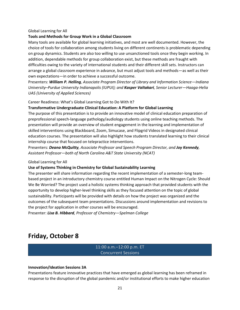#### Global Learning for All

#### **Tools and Methods for Group Work in a Global Classroom**

Many tools are available for global learning initiatives, and most are well documented. However, the choice of tools for collaboration among students living on different continents is problematic depending on group dynamics. Students are also too willing to use unsanctioned tools once they begin working. In addition, dependable methods for group collaboration exist, but these methods are fraught with difficulties owing to the variety of international students and their different skill sets. Instructors can arrange a global classroom experience in advance, but must adjust tools and methods—as well as their own expectations—in order to achieve a successful outcome.

Presenters: *William P. Helling, Associate Program Director of Library and Information Science—Indiana University–Purdue University Indianapolis (IUPUI); and Kasper Valtakari, Senior Lecturer—Haaga-Helia UAS (University of Applied Sciences)*

#### Career Readiness: What's Global Learning Got to Do With It?

#### **Transformative Undergraduate Clinical Education: A Platform for Global Learning**

The purpose of this presentation is to provide an innovative model of clinical education preparation of preprofessional speech-language pathology/audiology students using online teaching methods. The presentation will provide an overview of student engagement in the learning and implementation of skilled interventions using Blackboard, Zoom, Simucase, and Flipgrid Videos in designated clinical education courses. The presentation will also highlight how students translated learning to their clinical internship course that focused on telepractice interventions.

Presenters: *Deana McQuitty, Associate Professor and Speech Program Director, and Joy Kennedy, Assistant Professor—both of North Carolina A&T State University (NCAT)*

#### Global Learning for All

#### **Use of Systems Thinking in Chemistry for Global Sustainability Learning**

The presenter will share information regarding the recent implementation of a semester-long teambased project in an introductory chemistry course entitled Human Impact on the Nitrogen Cycle: Should We Be Worried? The project used a holistic systems thinking approach that provided students with the opportunity to develop higher-level thinking skills as they focused attention on the topic of global sustainability. Participants will be provided with details on how the project was organized and the outcomes of the subsequent team presentations. Discussions around implementation and revisions to the project for application in other courses will be encouraged.

Presenter: *Lisa B. Hibbard, Professor of Chemistry—Spelman College*

# **Friday, October 8**

# 11:00 a.m.–12:00 p.m. ET Concurrent Sessions

#### **Innovation/Ideation Sessions 3A**

Presentations feature innovative practices that have emerged as global learning has been reframed in response to the disruption of the global pandemic and/or institutional efforts to make higher education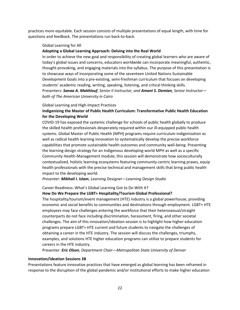practices more equitable. Each session consists of multiple presentations of equal length, with time for questions and feedback. The presentations run back-to-back.

#### Global Learning for All

#### **Adopting a Global Learning Approach: Delving into the Real World**

In order to achieve the new goal and responsibility of creating global learners who are aware of today's global issues and concerns, educators worldwide can incorporate meaningful, authentic, thought-provoking, and engaging materials into the syllabus. The purpose of this presentation is to showcase ways of incorporating some of the seventeen United Nations Sustainable Development Goals into a pre-existing, semi-freshman curriculum that focuses on developing students' academic reading, writing, speaking, listening, and critical thinking skills. Presenters: *Sanaa A. Makhlouf, Senior II Instructor, and Amani S. Demian, Senior Instructor both of The American University in Cairo*

#### Global Learning and High-Impact Practices

# **Indigenizing the Master of Public Health Curriculum: Transformative Public Health Education for the Developing World**

COVID-19 has exposed the systemic challenge for schools of public health globally to produce the skilled health professionals desperately required within our ill-equipped public health systems. Global Master of Public Health (MPH) programs require curriculum indigenization as well as radical health learning innovation to systematically develop the precise workforce capabilities that promote sustainable health outcomes and community well-being. Presenting the learning-design strategy for an Indigenous developing-world MPH as well as a specific Community Health-Management module, this session will demonstrate how socioculturally contextualized, holistic learning ecosystems featuring community-centric learning praxes, equip health professionals with the precise technical and management skills that bring public health impact to the developing world.

#### *Presenter: Mikhail I. Islam, Learning Designer—Learning Design Studio*

#### Career Readiness: What's Global Learning Got to Do With It?

#### **How Do We Prepare the LGBT+ Hospitality/Tourism Global Professional?**

The hospitality/tourism/event management (HTE) industry is a global powerhouse, providing economic and social benefits to communities and destinations through employment. LGBT+ HTE employees may face challenges entering the workforce that their heterosexual/straight counterparts do not face including discrimination, harassment, firing, and other societal challenges. The aim of this innovation/ideation session is to highlight how higher education programs prepare LGBT+ HTE current and future students to navigate the challenges of obtaining a career in the HTE industry. The session will discuss the challenges, triumphs, examples, and solutions HTE higher education programs can utilize to prepare students for careers in the HTE industry.

Presenter: *Eric Olson, Department Chair—Metropolitan State University of Denver*

#### **Innovation/Ideation Sessions 3B**

Presentations feature innovative practices that have emerged as global learning has been reframed in response to the disruption of the global pandemic and/or institutional efforts to make higher education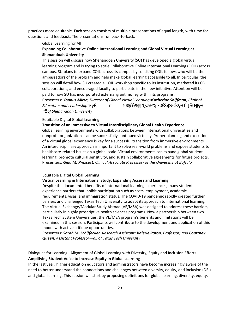practices more equitable. Each session consists of multiple presentations of equal length, with time for questions and feedback. The presentations run back-to-back.

#### Global Learning for All

# **Expanding Collaborative Online International Learning and Global Virtual Learning at Shenandoah University**

This session will discuss how Shenandoah University (SU) has developed a global virtual learning program and is trying to scale Collaborative Online International Learning (COIL) across campus. SU plans to expand COIL across its campus by soliciting COIL fellows who will be the ambassadors of the program and help make global learning accessible to all. In particular, the session will detail how SU created a COIL workshop specific to its institution, marketed its COIL collaborations, and encouraged faculty to participate in the new initiative. Attention will be paid to how SU has incorporated external grant money within its programs.

Presenters: *Younus Mirza, Director of Global Virtual Learning Catherine Shiffman, Chair of Education and LeadershipM*  $\overline{O}$  (*O*<sub>2</sub>) *u* and *Q Ăůů of Shenandoah University*

#### Equitable Digital Global Learning

#### **Transition of an Immersive to Virtual Interdisciplinary Global Health Experience**

Global learning environments with collaborations between international universities and nonprofit organizations can be successfully continued virtually. Proper planning and execution of a virtual global experience is key for a successful transition from immersive environments. An interdisciplinary approach is important to solve real-world problems and expose students to healthcare-related issues on a global scale. Virtual environments can expand global student learning, promote cultural sensitivity, and sustain collaborative agreements for future projects. Presenters: *Gina M. Prescott, Clinical Associate Professor- of the University at Buffalo*

#### Equitable Digital Global Learning

#### **Virtual Learning in International Study: Expanding Access and Learning**

Despite the documented benefits of international learning experiences, many students experience barriers that inhibit participation such as costs, employment, academic requirements, visas, and immigration status. The COVID-19 pandemic rapidly created further barriers and challenged Texas Tech University to adapt its approach to international learning. The Virtual Exchange/Modular Study Abroad (VE/MSA) was designed to address these barriers, particularly in highly proscriptive health sciences programs. Now a partnership between two Texas Tech System Universities, the VE/MSA program's benefits and limitations will be examined in this session. Participants will contribute to the development and application of this model with active critique opportunities.

Presenters: *Sarah M. Schiffecker, Research Assistant; Valerie Paton, Professor; and Courtney Queen, Assistant Professor—all of Texas Tech University* 

Dialogues for Learning | Alignment of Global Learning with Diversity, Equity and Inclusion Efforts **Amplifying Student Voice to Increase Equity in Global Learning**

In the last year, higher education educators and administrators have become increasingly aware of the need to better understand the connections and challenges between diversity, equity, and inclusion (DEI) and global learning. This session will start by proposing definitions for global learning, diversity, equity,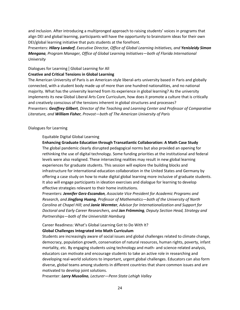and inclusion. After introducing a multipronged approach to raising students' voices in programs that align DEI and global learning, participants will have the opportunity to brainstorm ideas for their own DEI/global learning initiative that puts students at the forefront.

Presenters: *Hilary Landorf, Executive Director, Office of Global Learning Initiatives, and Yenisleidy Simon Mengana, Program Manager, Office of Global Learning Initiatives—both of Florida International University*

Dialogues for Learning | Global Learning for All

#### **Creative and Critical Tensions in Global Learning**

The American University of Paris is an American-style liberal-arts university based in Paris and globally connected, with a student body made up of more than one hundred nationalities, and no national majority. What has the university learned from its experience in global learning? As the university implements its new Global Liberal Arts Core Curriculum, how does it promote a culture that is critically and creatively conscious of the tensions inherent in global structures and processes? Presenters: *Geoffrey Gilbert, Director of the Teaching and Learning Center and Professor of Comparative Literature, and William Fisher, Provost—both of The American University of Paris*

#### Dialogues for Learning

#### Equitable Digital Global Learning

#### **Enhancing Graduate Education through Transatlantic Collaboration: A Math Case Study**

The global pandemic clearly disrupted pedagogical norms but also provided an opening for rethinking the use of digital technology. Some funding priorities at the institutional and federal levels were also realigned. These intersecting realities may result in new global learning experiences for graduate students. This session will explore the building blocks and infrastructure for international education collaboration in the United States and Germany by offering a case study on how to make digital global learning more inclusive of graduate students. It also will engage participants in ideation exercises and dialogue for learning to develop effective strategies relevant to their home institutions.

Presenters: *Jennifer Gerz-Escandon, Associate Vice President for Academic Programs and Research, and Jingfang Huang, Professor of Mathematics—both of the University of North Carolina at Chapel Hill; and Janie Wermter, Advisor for Internationalization and Support for Doctoral and Early Career Researchers, and Jan Frömming, Deputy Section Head, Strategy and Partnerships—both of the Universität Hamburg*

Career Readiness: What's Global Learning Got to Do With It?

#### **Global Challenges Integrated into Math Curriculum**

Students are increasingly aware of social issues and global challenges related to climate change, democracy, population growth, conservation of natural resources, human rights, poverty, infant mortality, etc. By engaging students using technology and math- and science-related analysis, educators can motivate and encourage students to take an active role in researching and developing real-world solutions to important, urgent global challenges. Educators can also form diverse, global teams among students in different countries that share common issues and are motivated to develop joint solutions.

Presenter: *Larry Musolino, Lecturer—Penn State Lehigh Valley*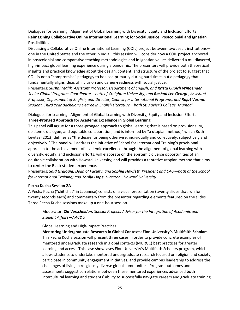Dialogues for Learning | Alignment of Global Learning with Diversity, Equity and Inclusion Efforts **Reimagining Collaborative Online International Learning for Social Justice: Postcolonial and Ignatian Possibilities**

Discussing a Collaborative Online International Learning (COIL) project between two Jesuit institutions one in the United States and the other in India—this session will consider how a COIL project anchored in postcolonial and comparative teaching methodologies and in Ignatian values delivered a multilayered, high-impact global learning experience during a pandemic. The presenters will provide both theoretical insights and practical knowledge about the design, content, and structure of the project to suggest that COIL is not a "compromise" pedagogy to be used primarily during hard times but a pedagogy that fundamentally aligns ideas of inclusion and career-readiness with social justice.

Presenters: *Surbhi Malik, Assistant Professor, Department of English, and Krista Cupich Wingender, Senior Global Programs Coordinator—both of Creighton University; and Rashmi Lee George, Assistant Professor, Department of English, and Director, Council for International Programs, and Rajat Varma, Student, Third Year Bachelor's Degree in English Literature—both St. Xavier's College, Mumbai*

Dialogues for Learning | Alignment of Global Learning with Diversity, Equity and Inclusion Efforts **Three-Pronged Approach for Academic Excellence in Global Learning**

This panel will argue for a three-pronged approach to global learning that is based on provisionality, epistemic dialogue, and equitable collaboration, and is informed by "a utopian method," which Ruth Levitas (2013) defines as "the desire for being otherwise, individually and collectively, subjectively and objectively." The panel will address the initiative of School for International Training's provisional approach to the achievement of academic excellence through the alignment of global learning with diversity, equity, and inclusion efforts; will elaborate on the epistemic diverse opportunities of an equitable collaboration with Howard University; and will provides a tentative utopian method that aims to center the Black student experience.

Presenters: *Said Graiouid, Dean of Faculty, and Sophia Howlett, President and CAO—both of the School for International Training; and Tonija Hope, Director—Howard University*

#### **Pecha Kucha Session 2A**

A Pecha Kucha ("chit chat" in Japanese) consists of a visual presentation (twenty slides that run for twenty seconds each) and commentary from the presenter regarding elements featured on the slides. Three Pecha Kucha sessions make up a one-hour session.

Moderator: *Cia Verschelden, Special Projects Advisor for the Integration of Academic and Student Affairs—AAC&U*

#### Global Learning and High-Impact Practices

**Mentoring Undergraduate Research in Global Contexts: Elon University's Multifaith Scholars** This Pecha Kucha session will present three cases in order to provide concrete examples of mentored undergraduate research in global contexts (MURGC) best practices for greater learning and access. This case showcases Elon University's Multifaith Scholars program, which allows students to undertake mentored undergraduate research focused on religion and society, participate in community engagement initiatives, and provide campus leadership to address the challenges of living in religiously diverse global communities. Program outcomes and assessments suggest correlations between these mentored experiences advanced both intercultural learning and students' ability to successfully navigate careers and graduate training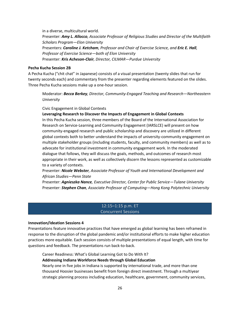in a diverse, multicultural world. Presenter: *Amy L. Allocco, Associate Professor of Religious Studies and Director of the Multifaith Scholars Program—Elon University* Presenters: *Caroline J. Ketcham, Professor and Chair of Exercise Science, and Eric E. Hall, Professor of Exercise Science—both of Elon University* Presenter: *Kris Acheson-Clair, Director, CILMAR—Purdue University*

#### **Pecha Kucha Session 2B**

A Pecha Kucha ("chit chat" in Japanese) consists of a visual presentation (twenty slides that run for twenty seconds each) and commentary from the presenter regarding elements featured on the slides. Three Pecha Kucha sessions make up a one-hour session.

Moderator: *Becca Berkey, Director, Community-Engaged Teaching and Research—Northeastern University*

Civic Engagement in Global Contexts

#### **Leveraging Research to Discover the Impacts of Engagement in Global Contexts**

In this Pecha Kucha session, three members of the Board of the International Association for Research on Service-Learning and Community Engagement (IARSLCE) will present on how community-engaged research and public scholarship and discovery are utilized in different global contexts both to better understand the impacts of university-community engagement on multiple stakeholder groups (including students, faculty, and community members) as well as to advocate for institutional investment in community engagement work. In the moderated dialogue that follows, they will discuss the goals, methods, and outcomes of research most appropriate in their work, as well as collectively discern the lessons represented as customizable to a variety of contexts.

Presenter: *Nicole Webster, Associate Professor of Youth and International Development and African Studies—Penn State*

Presenter: *Agnieszka Nance, Executive Director, Center for Public Service—Tulane University*  Presenter: *Stephen Chan, Associate Professor of Computing—Hong Kong Polytechnic University*

#### 12:15–1:15 p.m. ET Concurrent Sessions

#### **Innovation/Ideation Sessions 4**

Presentations feature innovative practices that have emerged as global learning has been reframed in response to the disruption of the global pandemic and/or institutional efforts to make higher education practices more equitable. Each session consists of multiple presentations of equal length, with time for questions and feedback. The presentations run back-to-back.

Career Readiness: What's Global Learning Got to Do With It?

#### **Addressing Indiana Workforce Needs through Global Education**

Nearly one in five jobs in Indiana is supported by international trade, and more than one thousand Hoosier businesses benefit from foreign direct investment. Through a multiyear strategic planning process including education, healthcare, government, community services,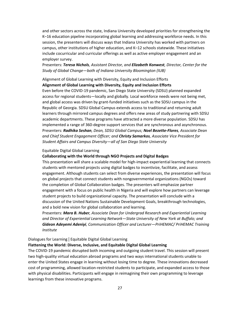and other sectors across the state, Indiana University developed priorities for strengthening the K–16 education pipeline incorporating global learning and addressing workforce needs. In this session, the presenters will discuss ways that Indiana University has worked with partners on campus, other institutions of higher education, and K–12 schools statewide. These initiatives include cocurricular and curricular offerings as well as active employer engagement and an employer survey.

Presenters: *Teresa Nichols, Assistant Director, and Elizabeth Konwest, Director, Center for the Study of Global Change—both of Indiana University Bloomington (IUB)*

# Alignment of Global Learning with Diversity, Equity and Inclusion Efforts **Alignment of Global Learning with Diversity, Equity and Inclusion Efforts**

Even before the COVID-19 pandemic, San Diego State University (SDSU) planned expanded access for regional students—locally and globally. Local workforce needs were not being met, and global access was driven by grant-funded initiatives such as the SDSU campus in the Republic of Georgia. SDSU Global Campus extends access to traditional and returning adult learners through mirrored campus degrees and offers new areas of study partnering with SDSU academic departments. These programs have attracted a more diverse population. SDSU has implemented a range of 360-degree support services that are synchronous and asynchronous. Presenters: *Radhika Seshan, Dean, SDSU Global Campus; Noel Bezette-Flores, Associate Dean and Chief Student Engagement Officer; and Christy Samarkos, Associate Vice President for Student Affairs and Campus Diversity—all of San Diego State University*

#### Equitable Digital Global Learning

#### **Collaborating with the World through NGO Projects and Digital Badges**

This presentation will share a scalable model for high-impact experiential learning that connects students with mentored projects using digital badges to incentivize, facilitate, and assess engagement. Although students can select from diverse experiences, the presentation will focus on global projects that connect students with nongovernmental organizations (NGOs) toward the completion of Global Collaboration badges. The presenters will emphasize partner engagement with a focus on public health in Nigeria and will explore how partners can leverage student projects to build organizational capacity. The presentation will conclude with a discussion of the United Nations Sustainable Development Goals, breakthrough technologies, and a bold new vision for global collaboration and learning.

Presenters: *Mara B. Huber, Associate Dean for Undergrad Research and Experiential Learning and Director of Experiential Learning Network—State University of New York at Buffalo; and Gideon Adeyemi Adeniyi, Communication Officer and Lecturer—PriHEMAC/ PriHEMAC Training Institute*

#### Dialogues for Learning | Equitable Digital Global Learning

#### **Flattening the World: Diverse, Inclusive, and Equitable Digital Global Learning**

The COVID-19 pandemic disrupted both incoming and outgoing student travel. This session will present two high-quality virtual education abroad programs and two ways international students unable to enter the United States engage in learning without losing time to degree. These innovations decreased cost of programming, allowed location-restricted students to participate, and expanded access to those with physical disabilities. Participants will engage in reimagining their own programming to leverage learnings from these innovative programs.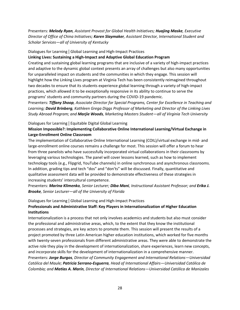# Presenters: *Melody Ryan, Assistant Provost for Global Health Initiatives; Huajing Maske, Executive Director of Office of China Initiatives; Karen Slaymaker, Assistant Director, International Student and Scholar Services—all of University of Kentucky*

Dialogues for Learning | Global Learning and High-Impact Practices

**Linking Lives: Sustaining a High-Impact and Adaptive Global Education Program**

Creating and sustaining global learning programs that are inclusive of a variety of high-impact practices and adaptive to the dynamic global context presents an array of challenges but also many opportunities for unparalleled impact on students and the communities in which they engage. This session will highlight how the Linking Lives program at Virginia Tech has been consistently reimagined throughout two decades to ensure that its students experience global learning through a variety of high-impact practices, which allowed it to be exceptionally responsive in its ability to continue to serve the programs' students and community partners during the COVID-19 pandemic.

Presenters: *Tiffany Shoop, Associate Director for Special Programs, Center for Excellence in Teaching and Learning; David Brinberg, Kathleen Grega Diggs Professor of Marketing and Director of the Linking Lives Study Abroad Program; and Marjie Woods, Marketing Masters Student—all of Virginia Tech University*

Dialogues for Learning | Equitable Digital Global Learning

# **Mission Impossible?: Implementing Collaborative Online International Learning/Virtual Exchange in Large-Enrollment Online Classroom**

The implementation of Collaborative Online International Learning (COIL)/virtual exchange in mid- and large-enrollment online courses remains a challenge for most. This session will offer a forum to hear from three panelists who have successfully incorporated virtual collaborations in their classrooms by leveraging various technologies. The panel will cover lessons learned, such as how to implement technology tools (e.g., Flipgrid, YouTube channels) in online synchronous and asynchronous classrooms. In addition, grading tips and tech "dos" and "don'ts" will be discussed. Finally, quantitative and qualitative assessment data will be provided to demonstrate effectiveness of these strategies in increasing students' intercultural competence.

Presenters: *Marina Klimenko, Senior Lecturer; Diba Mani, Instructional Assistant Professor; and Erika J. Brooke, Senior Lecturer—all of the University of Florida*

Dialogues for Learning | Global Learning and High-Impact Practices

# **Professionals and Administrative Staff: Key Players in Internationalization of Higher Education Institutions**

Internationalization is a process that not only involves academics and students but also must consider the professional and administrative areas, which, to the extent that they know the institutional processes and strategies, are key actors to promote them. This session will present the results of a project promoted by three Latin American higher education institutions, which worked for five months with twenty-seven professionals from different administrative areas. They were able to demonstrate the active role they play in the development of internationalization, share experiences, learn new concepts, and incorporate skills for the development of internationalization in a comprehensive manner. Presenters: *Jorge Burgos, Director of Community Engagement and International Relations—Universidad Católica del Maule; Patricia Serrano-Esguerra, Head of International Affairs—Universidad Católica de Colombia; and Matías A. Marín, Director of International Relations—Universidad Católica de Manizales*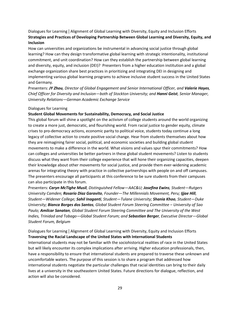Dialogues for Learning | Alignment of Global Learning with Diversity, Equity and Inclusion Efforts **Strategies and Practices of Developing Partnership Between Global Learning and Diversity, Equity, and Inclusion**

How can universities and organizations be instrumental in advancing social justice through global learning? How can they design transformative global learning with strategic intentionality, institutional commitment, and unit coordination? How can they establish the partnership between global learning and diversity, equity, and inclusion (DEI)?  Presenters from a higher education institution and a global exchange organization share best practices in prioritizing and integrating DEI in designing and implementing various global learning programs to achieve inclusive student success in the United States and Germany.

Presenters: *JY Zhou, Director of Global Engagement and Senior International Officer, and Valerie Hayes, Chief Officer for Diversity and Inclusion—both of Stockton University; and Hanni Geist, Senior Manager, University Relations—German Academic Exchange Service* 

#### Dialogues for Learning

#### **Student Global Movements for Sustainability, Democracy, and Social Justice**

This global forum will shine a spotlight on the activism of college students around the world organizing to create a more just, democratic, and flourishing world. From racial justice to gender equity, climate crises to pro-democracy actions, economic parity to political voice, students today continue a long legacy of collective action to create positive social change. Hear from students themselves about how they are reimagining fairer social, political, and economic societies and building global student movements to make a difference in the world. What visions and values spur their commitments? How can colleges and universities be better partners in these global student movements? Listen to students discuss what they want from their college experience that will hone their organizing capacities, deepen their knowledge about other movements for social justice, and provide them ever-widening academic arenas for integrating theory with practice in collective partnerships with people on and off campuses. The presenters encourage all participants at this conference to be sure students from their campuses can also participate in this forum.

Presenters: *Caryn McTighe Musil, Distinguished Fellow—AAC&U; Josefina Ewins, Student—Rutgers University Camden; Rosario Diaz Garavito, Founder—The Millennials Movement, Peru; Ijjae Hill, Student—Widener College; Sahil Inaganti, Student—Tulane University; Shania Khoo, Student—Duke University; Bianca Borges dos Santos, Global Student Forum Steering Committee – University of Sao Paulo; Amilcar Sanatan, Global Student Forum Steering Committee and The University of the West Indies, Trinidad and Tobago—Global Student Forum; and Sebastian Berger, Executive Director—Global Student Forum, Belgium*

Dialogues for Learning | Alignment of Global Learning with Diversity, Equity and Inclusion Efforts **Traversing the Racial Landscape of the United States with International Students**

International students may not be familiar with the sociohistorical realities of race in the United States but will likely encounter its complex implications after arriving. Higher education professionals, then, have a responsibility to ensure that international students are prepared to traverse these unknown and uncomfortable waters. The purpose of this session is to share a program that addressed how international students negotiate the particular challenges that racial identities can bring to their daily lives at a university in the southeastern United States. Future directions for dialogue, reflection, and action will also be considered.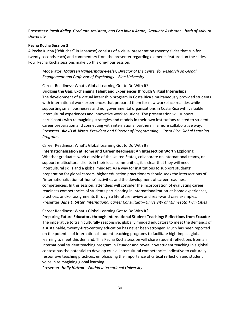Presenters: *Jacob Kelley, Graduate Assistant, and Paa Kwesi Asare, Graduate Assistant—both of Auburn University*

#### **Pecha Kucha Session 3**

A Pecha Kucha ("chit chat" in Japanese) consists of a visual presentation (twenty slides that run for twenty seconds each) and commentary from the presenter regarding elements featured on the slides. Four Pecha Kucha sessions make up this one-hour session.

# Moderator: *Maureen Vandermaas-Peeler, Director of the Center for Research on Global Engagement and Professor of Psychology—Elon University*

Career Readiness: What's Global Learning Got to Do With It?

**Bridging the Gap: Exchanging Talent and Experiences through Virtual Internships** The development of a virtual internship program in Costa Rica simultaneously provided students with international work experiences that prepared them for new workplace realities while supporting small businesses and nongovernmental organizations in Costa Rica with valuable intercultural experiences and innovative work solutions. The presentation will support participants with reimagining strategies and models in their own institutions related to student career preparation and connecting with international partners in a more collaborative way. Presenter: *Alexis N. Wren, President and Director of Programming—Costa Rica Global Learning Programs*

#### Career Readiness: What's Global Learning Got to Do With It?

**Internationalization at Home and Career Readiness: An Intersection Worth Exploring** Whether graduates work outside of the United States, collaborate on international teams, or support multicultural clients in their local communities, it is clear that they will need intercultural skills and a global mindset. As a way for institutions to support students' preparation for global careers, higher education practitioners should seek the intersections of "internationalization-at-home" activities and the development of career readiness competencies. In this session, attendees will consider the incorporation of evaluating career readiness competencies of students participating in internationalization-at-home experiences, practices, and/or assignments through a literature review and real-world case examples. Presenter: *Jane E. Sitter, International Career Consultant—University of Minnesota Twin Cities*

#### Career Readiness: What's Global Learning Got to Do With It?

**Preparing Future Educators through International Student Teaching: Reflections from Ecuador** The imperative to train culturally responsive, globally minded educators to meet the demands of a sustainable, twenty-first-century education has never been stronger. Much has been reported on the potential of international student teaching programs to facilitate high-impact global learning to meet this demand. This Pecha Kucha session will share student reflections from an international student teaching program in Ecuador and reveal how student teaching in a global context has the potential to develop crucial intercultural competencies indicative to culturally responsive teaching practices, emphasizing the importance of critical reflection and student voice in reimagining global learning.

Presenter: *Holly Hutton—Florida International University*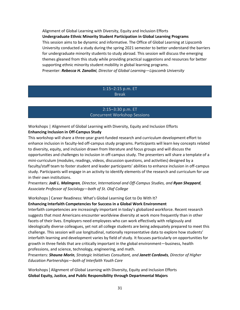Alignment of Global Learning with Diversity, Equity and Inclusion Efforts **Undergraduate Ethnic Minority Student Participation in Global Learning Programs** This session aims to be dynamic and informative. The Office of Global Learning at Lipscomb University conducted a study during the spring 2021 semester to better understand the barriers for undergraduate minority students to study abroad. This session will discuss the emerging themes gleaned from this study while providing practical suggestions and resources for better supporting ethnic minority student mobility in global learning programs. Presenter: *Rebecca H. Zanolini, Director of Global Learning—Lipscomb University*

# 1:15–2:15 p.m. ET Break

# 2:15–3:30 p.m. ET Concurrent Workshop Sessions

Workshops | Alignment of Global Learning with Diversity, Equity and Inclusion Efforts **Enhancing Inclusion in Off-Campus Study**

This workshop will share a three-year grant-funded research and curriculum development effort to enhance inclusion in faculty-led off-campus study programs. Participants will learn key concepts related to diversity, equity, and inclusion drawn from literature and focus groups and will discuss the opportunities and challenges to inclusion in off-campus study. The presenters will share a template of a mini-curriculum (modules, readings, videos, discussion questions, and activities) designed by a faculty/staff team to foster student and leader participants' abilities to enhance inclusion in off-campus study. Participants will engage in an activity to identify elements of the research and curriculum for use in their own institutions.

Presenters: *Jodi L. Malmgren, Director, International and Off-Campus Studies, and Ryan Sheppard, Associate Professor of Sociology—both of St. Olaf College*

# Workshops | Career Readiness: What's Global Learning Got to Do With It? **Enhancing Interfaith Competencies for Success in a Global Work Environment**

Interfaith competencies are increasingly important in today's globalized workforce. Recent research suggests that most Americans encounter worldview diversity at work more frequently than in other facets of their lives. Employers need employees who can work effectively with religiously and ideologically diverse colleagues, yet not all college students are being adequately prepared to meet this challenge. This session will use longitudinal, nationally representative data to explore how students' interfaith learning and development varies by field of study. It focuses particularly on opportunities for growth in three fields that are critically important in the global environment—business, health professions, and science, technology, engineering, and math.

Presenters: *Shauna Morin, Strategic Initiatives Consultant, and Janett Cordovés, Director of Higher Education Partnerships—both of Interfaith Youth Core*

Workshops | Alignment of Global Learning with Diversity, Equity and Inclusion Efforts **Global Equity, Justice, and Public Responsibility through Departmental Majors**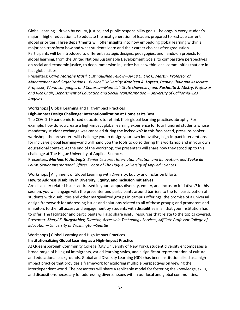Global learning—driven by equity, justice, and public responsibility goals—belongs in every student's major if higher education is to educate the next generation of leaders prepared to reshape current global priorities. Three departments will offer insights into how embedding global learning within a major can transform how and what students learn and their career choices after graduation. Participants will be introduced to different strategic designs, pedagogies, and hands-on projects for global learning, from the United Nations Sustainable Development Goals, to comparative perspectives on racial and economic justice, to deep immersion in justice issues within local communities that are in fact global cities.

Presenters: *Caryn McTighe Musil, Distinguished Fellow—AAC&U; Eric C. Martin, Professor of Management and Organizations—Bucknell University; Kathleen A. Loysen, Deputy Chair and Associate Professor, World Languages and Cultures—Montclair State University; and Rashmita S. Mistry, Professor and Vice Chair, Department of Education and Social Transformation—University of California–Los Angeles*

Workshops | Global Learning and High-Impact Practices

#### **High-Impact Design Challenge: Internationalization at Home at Its Best**

The COVID-19 pandemic forced educators to rethink their global learning practices abruptly. For example, how do you create a high-impact global learning experience for four hundred students whose mandatory student exchange was canceled during the lockdown? In this fast-paced, pressure-cooker workshop, the presenters will challenge you to design your own innovative, high-impact interventions for inclusive global learning—and will hand you the tools to do so during this workshop and in your own educational context. At the end of the workshop, the presenters will share how they stood up to this challenge at The Hague University of Applied Sciences

Presenters: *Marloes V. Ambagts, Senior Lecturer, Internationalization and Innovation, and Eveke de Louw, Senior International Officer—both of The Hague University of Applied Sciences*

# Workshops | Alignment of Global Learning with Diversity, Equity and Inclusion Efforts **How to Address Disability in Diversity, Equity, and Inclusion Initiatives**

Are disability-related issues addressed in your campus diversity, equity, and inclusion initiatives? In this session, you will engage with the presenter and participants around barriers to the full participation of students with disabilities and other marginalized groups in campus offerings; the promise of a universal design framework for addressing issues and solutions related to all of these groups; and promoters and inhibitors to the full access and engagement by students with disabilities in all that your institution has to offer. The facilitator and participants will also share useful resources that relate to the topics covered. Presenter: *Sheryl E. Burgstahler, Director, Accessible Technology Services, Affiliate Professor College of Education—University of Washington–Seattle*

#### Workshops | Global Learning and High-Impact Practices

#### **Institutionalizing Global Learning as a High-Impact Practice**

At Queensborough Community College (City University of New York), student diversity encompasses a broad range of bilingual immigrants, varied learning styles, and a significant representation of cultural and educational backgrounds. Global and Diversity Learning (GDL) has been institutionalized as a highimpact practice that provides a framework for exploring multiple perspectives on viewing the interdependent world. The presenters will share a replicable model for fostering the knowledge, skills, and dispositions necessary for addressing diverse issues within our local and global communities.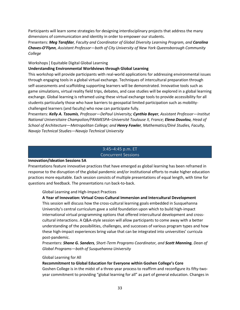Participants will learn some strategies for designing interdisciplinary projects that address the many dimensions of communication and identity in order to empower our students.

Presenters: *Meg Tarafdar, Faculty and Coordinator of Global Diversity Learning Program, and Carolina Chaves-O'Flynn, Assistant Professor—both of City University of New York Queensborough Community College* 

#### Workshops | Equitable Digital Global Learning

#### **Understanding Environmental Worldviews through Global Learning**

This workshop will provide participants with real-world applications for addressing environmental issues through engaging tools in a global virtual exchange. Techniques of intercultural preparation through self-assessments and scaffolding supporting learners will be demonstrated. Innovative tools such as game simulations, virtual reality field trips, debates, and case studies will be explored in a global learning exchange. Global learning is reframed using these virtual exchange tools to provide accessibility for all students particularly those who have barriers to geospatial limited participation such as mobilitychallenged learners (and faculty) who now can participate fully.

Presenters: *Kelly A. Tzoumis, Professor—DePaul University; Cynthia Boyer, Assistant Professor—Institut National Universitaire Champolion/FRAMESPA–Université Toulouse II, France; Elena Douvlou, Head of School of Architecture—Metropolitan College; and Henry Fowler, Mathematics/Diné Studies, Faculty, Navajo Technical Studies—Navajo Technical University*

# 3:45–4:45 p.m. ET

# Concurrent Sessions

#### **Innovation/Ideation Sessions 5A**

Presentations feature innovative practices that have emerged as global learning has been reframed in response to the disruption of the global pandemic and/or institutional efforts to make higher education practices more equitable. Each session consists of multiple presentations of equal length, with time for questions and feedback. The presentations run back-to-back.

#### Global Learning and High-Impact Practices

#### **A Year of Innovation: Virtual Cross-Cultural Immersion and Intercultural Development**

This session will discuss how the cross-cultural learning goals embedded in Susquehanna University's central curriculum gave a solid foundation upon which to build high-impact international virtual programming options that offered intercultural development and crosscultural interactions. A Q&A-style session will allow participants to come away with a better understanding of the possibilities, challenges, and successes of various program types and how these high-impact experiences bring value that can be integrated into universities' curricula post-pandemic.

Presenters: *Shane G. Sanders, Short-Term Programs Coordinator, and Scott Manning, Dean of Global Programs—both of Susquehanna University*

#### Global Learning for All

#### **Recommitment to Global Education for Everyone within Goshen College's Core**

Goshen College is in the midst of a three-year process to reaffirm and reconfigure its fifty-twoyear commitment to providing "global learning for all" as part of general education. Changes in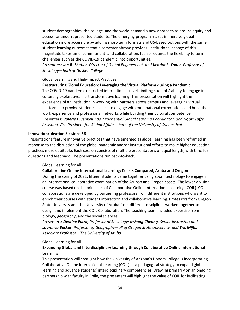student demographics, the college, and the world demand a new approach to ensure equity and access for underrepresented students. The emerging program makes immersive global education more accessible by adding short-term formats and US-based options with the same student learning outcomes that a semester abroad provides. Institutional change of this magnitude takes time, commitment, and collaboration. It also requires the flexibility to turn challenges such as the COVID-19 pandemic into opportunities.

*Presenters: Jan B. Shetler, Director of Global Engagement, and Kendra L. Yoder, Professor of Sociology—both of Goshen College*

#### Global Learning and High-Impact Practices

**Restructuring Global Education: Leveraging the Virtual Platform during a Pandemic** The COVID-19 pandemic restricted international travel, limiting students' ability to engage in culturally explorative, life-transformative learning. This presentation will highlight the experience of an institution in working with partners across campus and leveraging virtual platforms to provide students a space to engage with multinational corporations and build their work experience and professional networks while building their cultural competence. Presenters: *Valerie E. Jenkelunas, Experiential Global Learning Coordinator, and Ngozi Taffe, Assistant Vice President for Global Affairs—both of the University of Connecticut*

#### **Innovation/Ideation Sessions 5B**

Presentations feature innovative practices that have emerged as global learning has been reframed in response to the disruption of the global pandemic and/or institutional efforts to make higher education practices more equitable. Each session consists of multiple presentations of equal length, with time for questions and feedback. The presentations run back-to-back.

#### Global Learning for All

#### **Collaborative Online International Learning: Coasts Compared, Aruba and Oregon**

During the spring of 2021, fifteen students came together using Zoom technology to engage in an international collaborative examination of the Aruban and Oregon coasts. The lower division course was based on the principles of Collaborative Online International Learning (COIL). COIL collaborations are developed by partnering professors from different institutions who want to enrich their courses with student interaction and collaborative learning. Professors from Oregon State University and the University of Aruba from different disciplines worked together to design and implement the COIL Collaboration. The teaching team included expertise from biology, geography, and the social sciences.

Presenters: *Dwaine Plaza, Professor of Sociology; Itchung Cheung, Senior Instructor; and Laurence Becker, Professor of Geography—all of Oregon State University; and Eric Mijts, Associate Professor—The University of Aruba*

#### Global Learning for All

# **Expanding Global and Interdisciplinary Learning through Collaborative Online International Learning**

This presentation will spotlight how the University of Arizona's Honors College is incorporating Collaborative Online International Learning (COIL) as a pedagogical strategy to expand global learning and advance students' interdisciplinary competencies. Drawing primarily on an ongoing partnership with faculty in Chile, the presenters will highlight the value of COIL for facilitating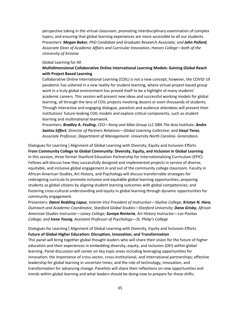perspective taking in the virtual classroom, promoting interdisciplinary examination of complex topics, and ensuring that global learning experiences are more accessible to all our students. Presenters: *Megan Baker, PhD Candidate and Graduate Research Associate, and John Pollard, Associate Dean of Academic Affairs and Curricular Innovation, Honors College—both of the University of Arizona*

#### Global Learning for All

# **Multidimensional Collaborative Online International Learning Models: Gaining Global Reach with Project Based Learning**

Collaborative Online International Learning (COIL) is not a new concept; however, the COVID-19 pandemic has ushered in a new reality for student learning, where virtual project-based group work in a truly global environment has proved itself to be a highlight of many students' academic careers. This session will present new ideas and successful working models for global learning, all through the lens of COIL projects involving dozens or even thousands of students. Through interactive and engaging dialogue, panelists and audience attendees will present their institutions' future-looking COIL models and explore critical components, such as student learning and multinational teamwork.

Presenters: *Bradley A. Feuling, CEO—Kong and Allan Group LLC DBA The Asia Institute; Andre Santos Siffert, Director of Partners Relations—Global Learning Collective; and Vasyl Taras, Associate Professor, Department of Management- University North Carolina- Greensboro*

Dialogues for Learning | Alignment of Global Learning with Diversity, Equity and Inclusion Efforts **From Community College to Global Community: Diversity, Equity, and Inclusion in Global Learning** In this session, three former Stanford Education Partnership for Internationalizing Curriculum (EPIC) Fellows will discuss how they successfully designed and implemented projects in service of diverse, equitable, and inclusive global engagement in and out of the community college classroom. Faculty in African American Studies, Art History, and Psychology will discuss transferrable strategies for redesigning curricula to promote inclusive and equitable global learning opportunities; preparing students as global citizens by aligning student learning outcomes with global competencies; and fostering cross-cultural understanding and equity in global learning through dynamic opportunities for community engagement.

Presenters: *Danni Redding Lapuz, Interim Vice President of Instruction—Skyline College; Kristyn N. Hara, Outreach and Academic Coordinator, Stanford Global Studies—Stanford University; Dana Grisby, African American Studies Instructor—Laney College; Soraya Renteria, Art History Instructor—Las Positas College; and Irene Young, Assistant Professor of Psychology—St. Philip's College*

Dialogues for Learning | Alignment of Global Learning with Diversity, Equity and Inclusion Efforts **Future of Global Higher Education: Disruption, Innovation, and Transformation**

This panel will bring together global thought leaders who will share their vision for the future of higher education and their experiences in embedding diversity, equity, and inclusion (DEI) within global learning. Panel discussion will center on key topic areas including leveraging opportunities for innovation; the importance of cross-sector, cross-institutional, and international partnerships; effective leadership for global learning in uncertain times; and the role of technology, innovation, and transformation for advancing change. Panelists will share their reflections on new opportunities and trends within global learning and what leaders should be doing now to prepare for these shifts.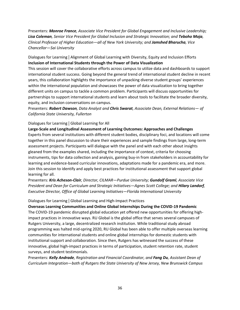Presenters: *Monroe France, Associate Vice President for Global Engagement and Inclusive Leadership; Lisa Coleman, Senior Vice President for Global Inclusion and Strategic Innovation; and Teboho Moja, Clinical Professor of Higher Education—all of New York University; and Jamshed Bharucha, Vice Chancellor—Sai University*

Dialogues for Learning | Alignment of Global Learning with Diversity, Equity and Inclusion Efforts **Inclusion of International Students through the Power of Data Visualization** 

This session will cover the collaborative efforts across campus to utilize data and dashboards to support international student success. Going beyond the general trend of international student decline in recent years, this collaboration highlights the importance of unpacking diverse student groups' experiences within the international population and showcases the power of data visualization to bring together different units on campus to tackle a common problem. Participants will discuss opportunities for partnerships to support international students and learn about tools to facilitate the broader diversity, equity, and inclusion conversations on campus.

Presenters: *Robert Dawson, Data Analyst and Chris Swarat, Associate Dean, External Relations— of California State University, Fullerton*

#### Dialogues for Learning | Global Learning for All

**Large-Scale and Longitudinal Assessment of Learning Outcomes: Approaches and Challenges** Experts from several institutions with different student bodies, disciplinary foci, and locations will come together in this panel discussion to share their experiences and sample findings from large, long-term assessment projects. Participants will dialogue with the panel and with each other about insights gleaned from the examples shared, including the importance of context, criteria for choosing instruments, tips for data collection and analysis, gaining buy-in from stakeholders in accountability for learning and evidence-based curricular innovations, adaptations made for a pandemic era, and more. Join this session to identify and apply best practices for institutional assessment that support global learning for all.

Presenters: *Kris Acheson-Clair, Director, CILMAR—Purdue University; Gundolf Graml, Associate Vice President and Dean for Curriculum and Strategic Initiatives—Agnes Scott College; and Hilary Landorf, Executive Director, Office of Global Learning Initiatives—Florida International University*

#### Dialogues for Learning | Global Learning and High-Impact Practices

**Overseas Learning Communities and Online Global Internships During the COVID-19 Pandemic** The COVID-19 pandemic disrupted global education yet offered new opportunities for offering highimpact practices in innovative ways. RU Global is the global office that serves several campuses of Rutgers University, a large, decentralized research institution. While traditional study abroad programming was halted mid-spring 2020, RU Global has been able to offer multiple overseas learning communities for international students and online global internships for domestic students with institutional support and collaboration. Since then, Rutgers has witnessed the success of these innovative, global high-impact practices in terms of participation, student retention rate, student surveys, and student testimonials.

Presenters: *Kelly Andrade, Registration and Financial Coordinator, and Fang Du, Assistant Dean of Curriculum Integration—both of Rutgers the State University of New Jersey, New Brunswick Campus*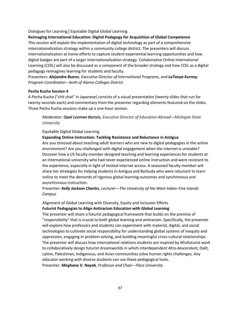#### Dialogues for Learning | Equitable Digital Global Learning

#### **Reimaging International Education: Digital Pedagogy for Acquisition of Global Competence**

This session will explain the implementation of digital technology as part of a comprehensive internationalization strategy within a community college district. The presenters will discuss internationalization at home efforts to capture student experiential learning opportunities and how digital badges are part of a larger internationalization strategy. Collaborative Online International Learning (COIL) will also be discussed as a component of the broader strategy and how COIL as a digital pedagogy reimagines learning for students and faculty.

Presenters: *Alejandra Bueno, Executive Director of International Programs, and LaTanya Kurney, Program Coordinator—both of Alamo Colleges District*

#### **Pecha Kucha Session 4**

A Pecha Kucha ("chit chat" in Japanese) consists of a visual presentation (twenty slides that run for twenty seconds each) and commentary from the presenter regarding elements featured on the slides. Three Pecha Kucha sessions make up a one-hour session.

Moderator: *Opal Leeman Bartzis, Executive Director of Education Abroad—Michigan State University*

#### Equitable Digital Global Learning

#### **Expanding Online Instruction: Tackling Resistance and Reluctance in Antigua**

Are you stressed about teaching adult learners who are new to digital pedagogies in the online environment? Are you challenged with digital engagement when the internet is unstable? Discover how a US faculty member designed teaching and learning experiences for students at an international university who had never experienced online instruction and were resistant to the experience, especially in light of limited internet access. A seasoned faculty member will share her strategies for helping students in Antigua and Barbuda who were reluctant to learn online to meet the demands of rigorous global learning outcomes and synchronous and asynchronous instruction.

# Presenter: *Kelly Jackson Charles, Lecturer—The University of the West Indies–Five Islands Campus*

# Alignment of Global Learning with Diversity, Equity and Inclusion Efforts **Futurist Pedagogies to Align Antiracism Education with Global Learning**

The presenter will share a futurist pedagogical framework that builds on the premise of "responsibility" that is crucial to both global learning and antiracism. Specifically, the presenter will explore how professors and students can experiment with material, digital, and social technologies to cultivate social responsibility for understanding global systems of inequity and oppression, engaging in problem solving, and building meaningful cross-cultural relationships. The presenter will discuss how international relations students are inspired by Afrofuturist work to collaboratively design futurist dreamworlds in which interdependent Afro-descendant, Dalit, Latinx, Palestinian, Indigenous, and Asian communities solve human rights challenges. Any educator working with diverse students can use these pedagogical tools. Presenter: *Meghana V. Nayak, Professor and Chair—Pace University*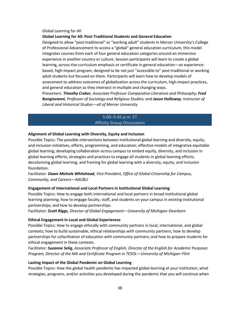#### Global Learning for All **Global Learning for All: Post-Traditional Students and General Education**

Designed to allow "post-traditional" or "working adult" students in Mercer University's College of Professional Advancement to access a "global" general education curriculum, this model integrates courses from each of four general education categories around an immersive experience in another country or culture. Session participants will learn to create a global learning, across-the-curriculum emphasis or certificate in general education—an experiencebased, high-impact program, designed to be not just "accessible to" post-traditional or working adult students but focused on them. Participants will learn how to develop models of assessment to address outcomes of globalization across the curriculum, high-impact practices, and general education as they intersect in multiple and changing ways.

Presenters: *Timothy Craker, Associate Professor Comparative Literature and Philosophy; Fred Bongiovanni, Professor of Sociology and Religious Studies; and Jason Holloway, Instructor of Liberal and Historical Studies—all of Mercer University*

# 5:00–5:45 p.m. ET Affinity Group Discussions

# **Alignment of Global Learning with Diversity, Equity and Inclusion**

Possible Topics: The possible intersections between institutional global learning and diversity, equity, and inclusion initiatives, efforts, programming, and education; effective models of integrative equitable global learning; developing collaboration across campus to embed equity, diversity, and inclusion in global learning efforts; strategies and practices to engage all students in global learning efforts; decolonizing global learning; and framing for global learning with a diversity, equity, and inclusion foundation.

# Facilitator: *Dawn Michele Whitehead, Vice President, Office of Global Citizenship for Campus, Community, and Careers—AAC&U*

#### **Engagement of International and Local Partners in Institutional Global Learning**

Possible Topics: How to engage both international and local partners in broad institutional global learning planning; how to engage faculty, staff, and students on your campus in existing institutional partnerships; and how to develop partnerships.

Facilitator: *Scott Riggs, Director of Global Engagement—University of Michigan–Dearborn*

#### **Ethical Engagement in Local and Global Experiences**

Possible Topics: How to engage ethically with community partners in local, international, and global contexts; how to build sustainable, ethical relationships with community partners; how to develop partnerships for cofacilitation of education with community partners; and how to prepare students for ethical engagement in these contexts.

Facilitator: *Suzanne Selig*, *Associate Professor of English, Director of the English for Academic Purposes Program, Director of the MA and Certificate Program in TESOL—University of Michigan–Flint*

#### **Lasting Impact of the Global Pandemic on Global Learning**

Possible Topics: How the global health pandemic has impacted global learning at your institution; what strategies, programs, and/or activities you developed during the pandemic that you will continue when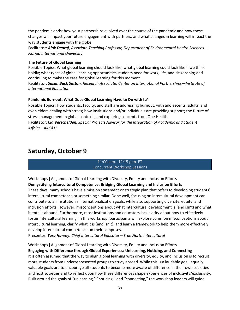the pandemic ends; how your partnerships evolved over the course of the pandemic and how these changes will impact your future engagement with partners; and what changes in learning will impact the way students engage with the globe.

Facilitator: *Alok Deoraj*, *Associate Teaching Professor, Department of Environmental Health Sciences— Florida International University*

#### **The Future of Global Learning**

Possible Topics: What global learning should look like; what global learning could look like if we think boldly; what types of global learning opportunities students need for work, life, and citizenship; and continuing to make the case for global learning for this moment.

Facilitator: *Susan Buck Sutton, Research Associate, Center on International Partnerships—Institute of International Education*

#### **Pandemic Burnout: What Does Global Learning Have to Do with It?**

Possible Topics: How students, faculty, and staff are addressing burnout, with adolescents, adults, and even elders dealing with stress; how institutions and/or individuals are providing support; the future of stress management in global contexts; and exploring concepts from One Health.

Facilitator: *Cia Verschelden, Special Projects Advisor for the Integration of Academic and Student Affairs—AAC&U*

# **Saturday, October 9**

#### 11:00 a.m.–12:15 p.m. ET Concurrent Workshop Sessions

#### Workshops | Alignment of Global Learning with Diversity, Equity and Inclusion Efforts **Demystifying Intercultural Competence: Bridging Global Learning and Inclusion Efforts**

These days, many schools have a mission statement or strategic plan that refers to developing students' intercultural competence or something similar. Done well, focusing on intercultural development can contribute to an institution's internationalization goals, while also supporting diversity, equity, and inclusion efforts. However, misconceptions about what intercultural development is (and isn't) and what it entails abound. Furthermore, most institutions and educators lack clarity about how to effectively foster intercultural learning. In this workshop, participants will explore common misconceptions about intercultural learning, clarify what it is (and isn't), and learn a framework to help them more effectively develop intercultural competence on their campuses.

Presenter: *Tara Harvey, Chief Intercultural Educator—True North Intercultural*

#### Workshops | Alignment of Global Learning with Diversity, Equity and Inclusion Efforts **Engaging with Difference through Global Experiences: Unlearning, Noticing, and Connecting**

It is often assumed that the way to align global learning with diversity, equity, and inclusion is to recruit more students from underrepresented groups to study abroad. While this is a laudable goal, equally valuable goals are to encourage all students to become more aware of difference in their own societies and host societies and to reflect upon how these differences shape experiences of inclusivity/exclusivity. Built around the goals of "unlearning," "noticing," and "connecting," the workshop leaders will guide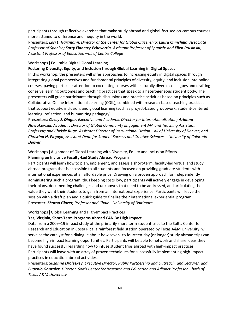participants through reflective exercises that make study abroad and global-focused on-campus courses more attuned to difference and inequity in the world.

Presenters: *Lori L. Hartmann, Director of the Center for Global Citizenship; Laura Chinchilla, Associate Professor of Spanish; Satty Flaherty-Echeverria, Assistant Professor of Spanish; and Ellen Prusinski, Assistant Professor of Education—all of Centre College*

#### Workshops | Equitable Digital Global Learning

#### **Fostering Diversity, Equity, and Inclusion through Global Learning in Digital Spaces**

In this workshop, the presenters will offer approaches to increasing equity in digital spaces through integrating global perspectives and fundamental principles of diversity, equity, and inclusion into online courses, paying particular attention to cocreating courses with culturally diverse colleagues and drafting cohesive learning outcomes and teaching practices that speak to a heterogeneous student body. The presenters will guide participants through discussions and practice activities based on principles such as Collaborative Online International Learning (COIL), combined with research-based teaching practices that support equity, inclusion, and global learning (such as project-based groupwork, student-centered learning, reflection, and humanizing pedagogy).

Presenters: *Casey J. Dinger, Executive and Academic Director for Internationalization; Arianna Nowakowski, Academic Director of Global Community Engagement MA and Teaching Assistant Professor; and Chelsie Ruge, Assistant Director of Instructional Design—all of University of Denver; and Christina H. Paguyo, Assistant Dean for Student Success and Creative Sciences—University of Colorado Denver*

# Workshops | Alignment of Global Learning with Diversity, Equity and Inclusion Efforts **Planning an Inclusive Faculty-Led Study Abroad Program**

Participants will learn how to plan, implement, and assess a short-term, faculty-led virtual and study abroad program that is accessible to all students and focused on providing graduate students with international experiences at an affordable price. Drawing on a proven approach for independently administering such a program, thus keeping costs low, participants will actively engage in developing their plans, documenting challenges and unknowns that need to be addressed, and articulating the value they want their students to gain from an international experience. Participants will leave the session with a draft plan and a quick guide to finalize their international experiential program. Presenter: *Sharon Glazer, Professor and Chair—University of Baltimore*

Workshops | Global Learning and High-Impact Practices

#### **Yes, Virginia, Short-Term Programs Abroad CAN Be High Impact**

Data from a 2009–19 impact study of the primarily short-term student trips to the Soltis Center for Research and Education in Costa Rica, a rainforest field station operated by Texas A&M University, will serve as the catalyst for a dialogue about how seven- to fourteen-day (or longer) study abroad trips can become high-impact learning opportunities. Participants will be able to network and share ideas they have found successful regarding how to infuse student trips abroad with high-impact practices. Participants will leave with an array of proven techniques for successfully implementing high-impact practices in education abroad activities.

Presenters: *Suzanne Droleskey, Executive Director, Public Partnership and Outreach, and Lecturer, and Eugenio Gonzalez, Director, Soltis Center for Research and Education and Adjunct Professor—both of Texas A&M University*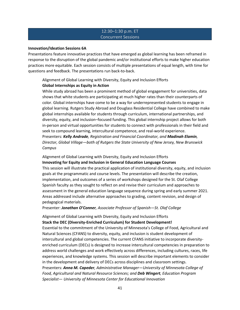#### 12:30–1:30 p.m. ET Concurrent Sessions

#### **Innovation/Ideation Sessions 6A**

Presentations feature innovative practices that have emerged as global learning has been reframed in response to the disruption of the global pandemic and/or institutional efforts to make higher education practices more equitable. Each session consists of multiple presentations of equal length, with time for questions and feedback. The presentations run back-to-back.

# Alignment of Global Learning with Diversity, Equity and Inclusion Efforts **Global Internships as Equity in Action**

While study abroad has been a prominent method of global engagement for universities, data shows that white students are participating at much higher rates than their counterparts of color. Global internships have come to be a way for underrepresented students to engage in global learning. Rutgers Study Abroad and Douglass Residential College have combined to make global internships available for students through curriculum, international partnerships, and diversity, equity, and inclusion–focused funding. This global internship project allows for both in-person and virtual opportunities for students to connect with professionals in their field and seek to compound learning, intercultural competence, and real-world experience. Presenters: *Kelly Andrade, Registration and Financial Coordinator, and Madinah Elamin, Director, Global Village—both of Rutgers the State University of New Jersey, New Brunswick Campus*

Alignment of Global Learning with Diversity, Equity and Inclusion Efforts **Innovating for Equity and Inclusion in General Education Language Courses** This session will illustrate the practical application of institutional diversity, equity, and inclusion goals at the programmatic and course levels. The presentation will describe the creation, implementation, and outcomes of a series of workshops designed for the St. Olaf College Spanish faculty as they sought to reflect on and revise their curriculum and approaches to assessment in the general education language sequence during spring and early summer 2021. Areas addressed include alternative approaches to grading, content revision, and design of pedagogical materials.

Presenter: *Jonathan O'Conner, Associate Professor of Spanish—St. Olaf College*

#### Alignment of Global Learning with Diversity, Equity and Inclusion Efforts **Stack the DEC (Diversity-Enriched Curriculum) for Student Development!**

Essential to the commitment of the University of Minnesota's College of Food, Agricultural and Natural Sciences (CFANS) to diversity, equity, and inclusion is student development of intercultural and global competencies. The current CFANS initiative to incorporate diversityenriched curriculum (DECs) is designed to increase intercultural competencies in preparation to address world challenges and work effectively across differences, including cultures, races, life experiences, and knowledge systems. This session will describe important elements to consider in the development and delivery of DECs across disciplines and classroom settings. Presenters: *Anna M. Capeder, Administrative Manager—University of Minnesota College of Food, Agricultural and Natural Resource Sciences; and Deb Wingert, Education Program Specialist— University of Minnesota Center for Educational Innovation*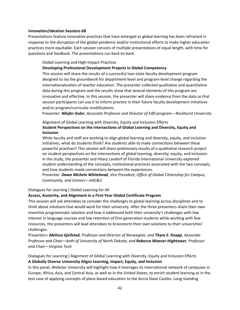#### **Innovation/Ideation Sessions 6B**

Presentations feature innovative practices that have emerged as global learning has been reframed in response to the disruption of the global pandemic and/or institutional efforts to make higher education practices more equitable. Each session consists of multiple presentations of equal length, with time for questions and feedback. The presentations run back-to-back.

Global Learning and High-Impact Practices

#### **Developing Professional Development Projects in Global Competency**

This session will share the results of a successful two-state faculty development program designed to lay the groundwork for department-level and program-level change regarding the internationalization of teacher education. The presenter collected qualitative and quantitative data during this program and the results show that several elements of this program are innovative and effective. In this session, the presenter will share evidence from the data so that session participants can use it to inform practice in their future faculty development initiatives and/or program/curricular modifications.

Presenter: *Nilufer Guler, Associate Professor and Director of EdD program—Rockhurst University*

# Alignment of Global Learning with Diversity, Equity and Inclusion Efforts **Student Perspectives on the Intersections of Global Learning and Diversity, Equity and Inclusion**

While faculty and staff are working to align global learning and diversity, equity, and inclusion initiatives, what do students think? Are students able to make connections between these powerful practices? This session will share preliminary results of a qualitative research project on student perspectives on the intersections of global learning, diversity, equity, and inclusion. In the study, the presenter and Hilary Landorf of Florida International University explored student understanding of the concepts, institutional practices associated with the two concepts, and how students made connections between the experiences.

Presenter: *Dawn Michele Whitehead, Vice President, Office of Global Citizenship for Campus, Community, and Careers—AAC&U*

Dialogues for Learning | Global Learning for All

#### **Access, Austerity, and Alignment in a First-Year Global Certificate Program**

This session will ask attendees to consider the challenges to global learning across disciplines and to think about solutions that would work for their university. After the three presenters share their own inventive programmatic solution and how it addressed both their university's challenges with low interest in language courses and low retention of first-generation students while working with few resources, the presenters will lead attendees to brainstorm their own solutions to their universities' challenges.

Presenters: *Melissa Gjellstad, Professor and Director of Norwegian, and Thyra E. Knapp, Associate Professor and Chair—both of University of North Dakota; and Rebecca Weaver-Hightower, Professor and Chair—Virginia Tech*

# Dialogues for Learning | Alignment of Global Learning with Diversity, Equity and Inclusion Efforts **A Globally Diverse University Aligns Learning, Impact, Equity, and Inclusion**

In this panel, Webster University will highlight how it leverages its international network of campuses in Europe, Africa, Asia, and Central Asia, as well as in the United States, to enrich student learning as in the test case of applying concepts of place-based education to the Accra Slave Castles. Long-standing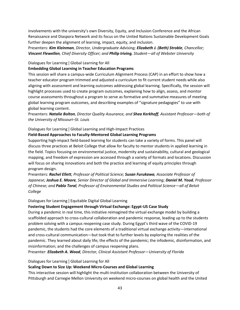involvements with the university's own Diversity, Equity, and Inclusion Conference and the African Renaissance and Diaspora Network and its focus on the United Nations Sustainable Development Goals further deepen the alignment of learning, impact, equity, and inclusion.

Presenters: *Kim Kleinman, Director, Undergraduate Advising; Elizabeth J. (Beth) Stroble, Chancellor; Vincent Flewellen, Chief Diversity Officer; and Philip Iriving, Student—all of Webster University*

# Dialogues for Learning | Global Learning for All

# **Embedding Global Learning in Teacher Education Programs**

This session will share a campus-wide Curriculum Alignment Process (CAP) in an effort to show how a teacher educator program trimmed and adjusted a curriculum to fit current student needs while also aligning with assessment and learning outcomes addressing global learning. Specifically, the session will highlight processes used to create program outcomes, explaining how to align, assess, and monitor course assessments throughout a program to serve as formative and summative measures of meeting global learning program outcomes, and describing examples of "signature pedagogies" to use with global learning content.

Presenters: *Natalie Bolton, Director Quality Assurance, and Shea Kerkhoff, Assistant Professor—both of the University of Missouri–St. Louis*

#### Dialogues for Learning | Global Learning and High-Impact Practices

# **Field-Based Approaches to Faculty-Mentored Global Learning Programs**

Supporting high-impact field-based learning for students can take a variety of forms. This panel will discuss three practices at Beloit College that allow for faculty to mentor students in applied learning in the field. Topics focusing on environmental justice, modernity and sustainability, cultural and geological mapping, and freedom of expression are accessed through a variety of formats and locations. Discussion will focus on sharing innovations and both the practice and learning of equity principles through program design.

Presenters: *Rachel Ellett, Professor of Political Science; Susan Furukawa, Associate Professor of Japanese; Joshua E. Moore, Senior Director of Global and Immersive Learning; Daniel M. Youd, Professor of Chinese; and Pablo Toral, Professor of Environmental Studies and Political Science—all of Beloit College*

#### Dialogues for Learning | Equitable Digital Global Learning

# **Fostering Student Engagement through Virtual Exchange: Egypt-US Case Study**

During a pandemic in real time, this initiative reimagined the virtual exchange model by building a scaffolded approach to cross-cultural collaboration and pandemic response, leading up to the students problem solving with a campus reopening case study. During Egypt's third wave of the COVID-19 pandemic, the students had the core elements of a traditional virtual exchange activity—international and cross-cultural communication—but took that to further levels by exploring the realities of the pandemic. They learned about daily life; the effects of the pandemic; the infodemic, disinformation, and misinformation; and the challenges of campus reopening plans.

Presenter: *Elizabeth A. Wood, Director, Clinical Assistant Professor—University of Florida*

#### Dialogues for Learning | Global Learning for All

# **Scaling Down to Size Up: Weekend Micro-Courses and Global Learning**

This interactive session will highlight the multi-institution collaboration between the University of Pittsburgh and Carnegie Mellon University on weekend micro-courses on global health and the United